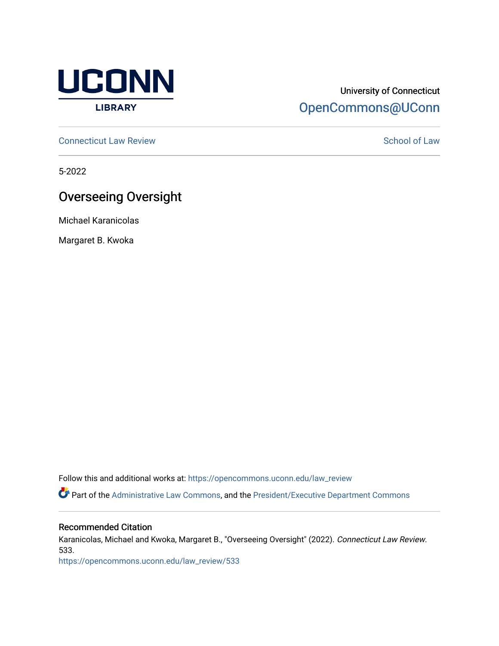

## University of Connecticut [OpenCommons@UConn](https://opencommons.uconn.edu/)

**[Connecticut Law Review](https://opencommons.uconn.edu/law_review) [School of Law](https://opencommons.uconn.edu/sol) Review School of Law School of Law School of Law School of Law School of Law School of Law School of Law School of Law School of Law School of Law School of Law School of Law School of** 

5-2022

# Overseeing Oversight

Michael Karanicolas

Margaret B. Kwoka

Follow this and additional works at: [https://opencommons.uconn.edu/law\\_review](https://opencommons.uconn.edu/law_review?utm_source=opencommons.uconn.edu%2Flaw_review%2F533&utm_medium=PDF&utm_campaign=PDFCoverPages)

Part of the [Administrative Law Commons,](https://network.bepress.com/hgg/discipline/579?utm_source=opencommons.uconn.edu%2Flaw_review%2F533&utm_medium=PDF&utm_campaign=PDFCoverPages) and the [President/Executive Department Commons](https://network.bepress.com/hgg/discipline/1118?utm_source=opencommons.uconn.edu%2Flaw_review%2F533&utm_medium=PDF&utm_campaign=PDFCoverPages)

## Recommended Citation

Karanicolas, Michael and Kwoka, Margaret B., "Overseeing Oversight" (2022). Connecticut Law Review. 533.

[https://opencommons.uconn.edu/law\\_review/533](https://opencommons.uconn.edu/law_review/533?utm_source=opencommons.uconn.edu%2Flaw_review%2F533&utm_medium=PDF&utm_campaign=PDFCoverPages)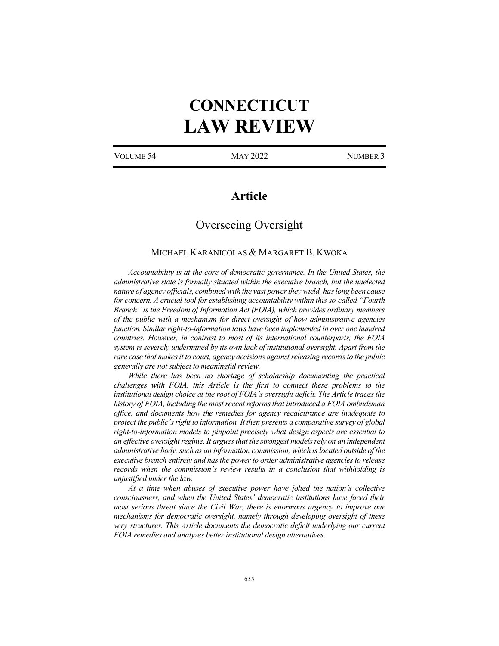# **CONNECTICUT LAW REVIEW**

VOLUME 54 MAY 2022 NUMBER 3

## **Article**

## Overseeing Oversight

#### MICHAEL KARANICOLAS & MARGARET B. KWOKA

*Accountability is at the core of democratic governance. In the United States, the administrative state is formally situated within the executive branch, but the unelected nature of agency officials, combined with the vast power they wield, has long been cause for concern. A crucial tool for establishing accountability within this so-called "Fourth Branch" is the Freedom of Information Act (FOIA), which provides ordinary members of the public with a mechanism for direct oversight of how administrative agencies function. Similar right-to-information laws have been implemented in over one hundred countries. However, in contrast to most of its international counterparts, the FOIA system is severely undermined by its own lack of institutional oversight. Apart from the rare case that makes it to court, agency decisions against releasing records to the public generally are not subject to meaningful review.*

*While there has been no shortage of scholarship documenting the practical challenges with FOIA, this Article is the first to connect these problems to the institutional design choice at the root of FOIA's oversight deficit. The Article traces the history of FOIA, including the most recent reforms that introduced a FOIA ombudsman office, and documents how the remedies for agency recalcitrance are inadequate to protect the public's right to information. It then presents a comparative survey of global right-to-information models to pinpoint precisely what design aspects are essential to an effective oversight regime. It argues that the strongest models rely on an independent administrative body, such as an information commission, which is located outside of the executive branch entirely and has the power to order administrative agencies to release records when the commission's review results in a conclusion that withholding is unjustified under the law.*

*At a time when abuses of executive power have jolted the nation's collective consciousness, and when the United States' democratic institutions have faced their most serious threat since the Civil War, there is enormous urgency to improve our mechanisms for democratic oversight, namely through developing oversight of these very structures. This Article documents the democratic deficit underlying our current FOIA remedies and analyzes better institutional design alternatives.*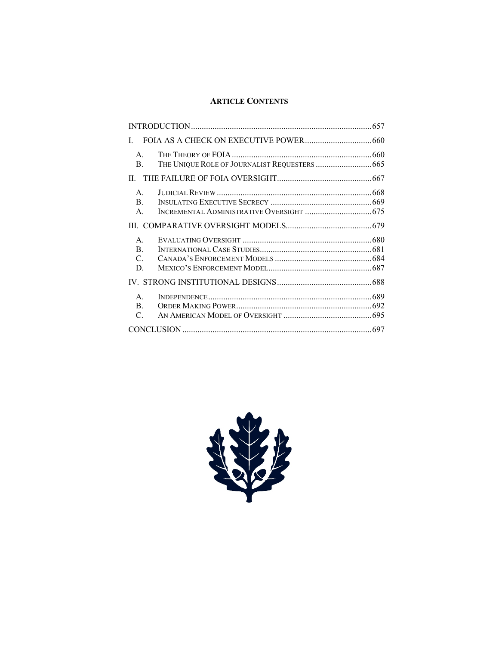## **ARTICLE CONTENTS**

| L                                                      |  |  |
|--------------------------------------------------------|--|--|
| $A_{\cdot}$<br>B.                                      |  |  |
|                                                        |  |  |
| $A_{\cdot}$<br>$\mathbf{B}$ .<br>$\mathsf{A}$          |  |  |
|                                                        |  |  |
| $\mathsf{A}$<br>$\mathbf{B}$ .<br>$\mathcal{C}$ .<br>D |  |  |
|                                                        |  |  |
| $A_{\cdot}$<br>B.<br>C.                                |  |  |
|                                                        |  |  |

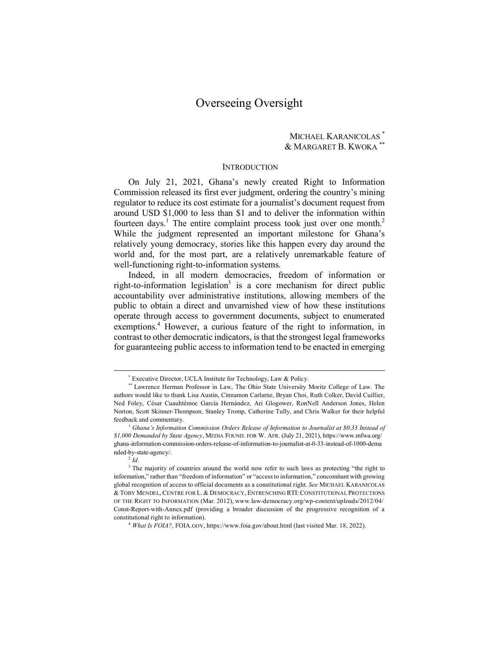## Overseeing Oversight

#### MICHAEL KARANICOLAS \* & MARGARET B. KWOKA \*\*

#### **INTRODUCTION**

On July 21, 2021, Ghana's newly created Right to Information Commission released its first ever judgment, ordering the country's mining regulator to reduce its cost estimate for a journalist's document request from around USD \$1,000 to less than \$1 and to deliver the information within fourteen days.<sup>1</sup> The entire complaint process took just over one month.<sup>2</sup> While the judgment represented an important milestone for Ghana's relatively young democracy, stories like this happen every day around the world and, for the most part, are a relatively unremarkable feature of well-functioning right-to-information systems.

Indeed, in all modern democracies, freedom of information or right-to-information legislation<sup>3</sup> is a core mechanism for direct public accountability over administrative institutions, allowing members of the public to obtain a direct and unvarnished view of how these institutions operate through access to government documents, subject to enumerated exemptions.<sup>4</sup> However, a curious feature of the right to information, in contrast to other democratic indicators, is that the strongest legal frameworks for guaranteeing public access to information tend to be enacted in emerging

 <sup>\*</sup> Executive Director, UCLA Institute for Technology, Law & Policy.

<sup>\*\*</sup> Lawrence Herman Professor in Law, The Ohio State University Moritz College of Law. The authors would like to thank Lisa Austin, Cinnamon Carlarne, Bryan Choi, Ruth Colker, David Cuillier, Ned Foley, César Cuauhtémoc García Hernández, Ari Glogower, RonNell Anderson Jones, Helen Norton, Scott Skinner-Thompson, Stanley Tromp, Catherine Tully, and Chris Walker for their helpful feedback and commentary.

<sup>1</sup> *Ghana's Information Commission Orders Release of Information to Journalist at \$0.33 Instead of \$1,000 Demanded by State Agency*, MEDIA FOUND. FOR W. AFR. (July 21, 2021), https://www.mfwa.org/ ghana-information-commission-orders-release-of-information-to-journalist-at-0-33-instead-of-1000-dema nded-by-state-agency/.

 $2^7d$ 

<sup>&</sup>lt;sup>3</sup> The majority of countries around the world now refer to such laws as protecting "the right to information," rather than "freedom of information" or "access to information," concomitant with growing global recognition of access to official documents as a constitutional right. *See* MICHAEL KARANICOLAS & TOBY MENDEL, CENTRE FOR L. & DEMOCRACY, ENTRENCHING RTI: CONSTITUTIONAL PROTECTIONS OF THE RIGHT TO INFORMATION (Mar. 2012), www.law-democracy.org/wp-content/uploads/2012/04/ Const-Report-with-Annex.pdf (providing a broader discussion of the progressive recognition of a constitutional right to information).

<sup>4</sup> *What Is FOIA?*, FOIA.GOV, https://www.foia.gov/about.html (last visited Mar. 18, 2022).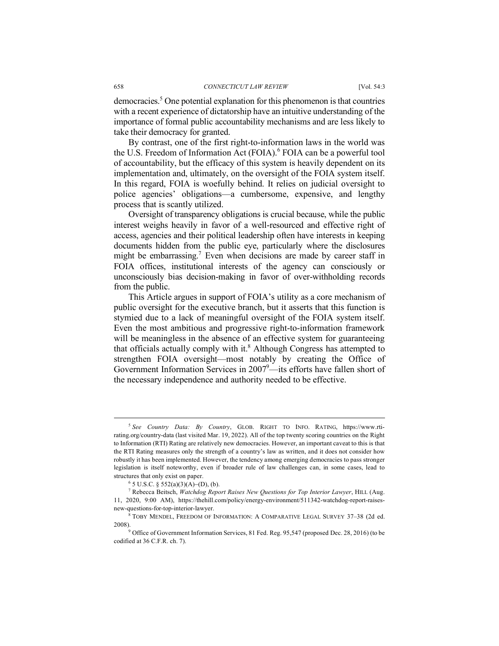democracies.5 One potential explanation for this phenomenon isthat countries with a recent experience of dictatorship have an intuitive understanding of the importance of formal public accountability mechanisms and are less likely to take their democracy for granted.

By contrast, one of the first right-to-information laws in the world was the U.S. Freedom of Information Act (FOIA). <sup>6</sup> FOIA can be a powerful tool of accountability, but the efficacy of this system is heavily dependent on its implementation and, ultimately, on the oversight of the FOIA system itself. In this regard, FOIA is woefully behind. It relies on judicial oversight to police agencies' obligations—a cumbersome, expensive, and lengthy process that is scantly utilized.

Oversight of transparency obligations is crucial because, while the public interest weighs heavily in favor of a well-resourced and effective right of access, agencies and their political leadership often have interests in keeping documents hidden from the public eye, particularly where the disclosures might be embarrassing.<sup>7</sup> Even when decisions are made by career staff in FOIA offices, institutional interests of the agency can consciously or unconsciously bias decision-making in favor of over-withholding records from the public.

This Article argues in support of FOIA's utility as a core mechanism of public oversight for the executive branch, but it asserts that this function is stymied due to a lack of meaningful oversight of the FOIA system itself. Even the most ambitious and progressive right-to-information framework will be meaningless in the absence of an effective system for guaranteeing that officials actually comply with it.<sup>8</sup> Although Congress has attempted to strengthen FOIA oversight—most notably by creating the Office of Government Information Services in  $2007^9$ —its efforts have fallen short of the necessary independence and authority needed to be effective.

 <sup>5</sup> *See Country Data: By Country*, GLOB. RIGHT TO INFO. RATING, https://www.rtirating.org/country-data (last visited Mar. 19, 2022). All of the top twenty scoring countries on the Right to Information (RTI) Rating are relatively new democracies. However, an important caveat to this is that the RTI Rating measures only the strength of a country's law as written, and it does not consider how robustly it has been implemented. However, the tendency among emerging democracies to pass stronger legislation is itself noteworthy, even if broader rule of law challenges can, in some cases, lead to structures that only exist on paper.

<sup>6</sup> 5 U.S.C. § 552(a)(3)(A)-(D), (b). 7 Rebecca Beitsch, *Watchdog Report Raises New Questions for Top Interior Lawyer*, HILL (Aug. 11, 2020, 9:00 AM), https://thehill.com/policy/energy-environment/511342-watchdog-report-raisesnew-questions-for-top-interior-lawyer.<br><sup>8</sup> TOBY MENDEL, FREEDOM OF INFORMATION: A COMPARATIVE LEGAL SURVEY 37–38 (2d ed.

<sup>2008).&</sup>lt;br><sup>9</sup> Office of Government Information Services, 81 Fed. Reg. 95,547 (proposed Dec. 28, 2016) (to be

codified at 36 C.F.R. ch. 7).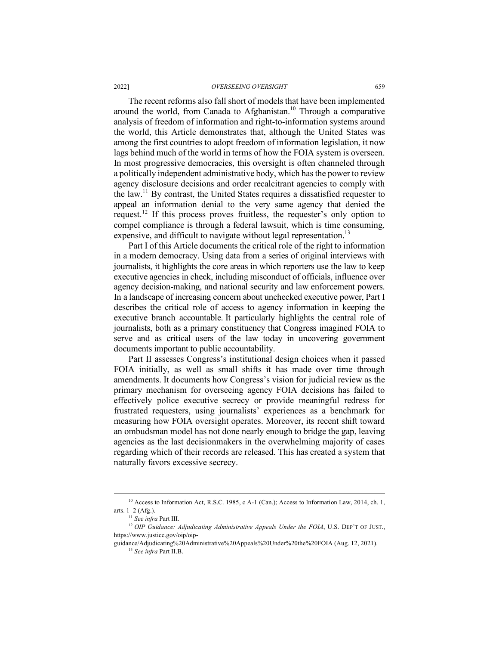#### 2022] *OVERSEEING OVERSIGHT* 659

The recent reforms also fall short of models that have been implemented around the world, from Canada to Afghanistan. <sup>10</sup> Through a comparative analysis of freedom of information and right-to-information systems around the world, this Article demonstrates that, although the United States was among the first countries to adopt freedom of information legislation, it now lags behind much of the world in terms of how the FOIA system is overseen. In most progressive democracies, this oversight is often channeled through a politically independent administrative body, which has the power to review agency disclosure decisions and order recalcitrant agencies to comply with the law.11 By contrast, the United States requires a dissatisfied requester to appeal an information denial to the very same agency that denied the request.<sup>12</sup> If this process proves fruitless, the requester's only option to compel compliance is through a federal lawsuit, which is time consuming, expensive, and difficult to navigate without legal representation.<sup>13</sup>

Part I of this Article documents the critical role of the right to information in a modern democracy. Using data from a series of original interviews with journalists, it highlights the core areas in which reporters use the law to keep executive agencies in check, including misconduct of officials, influence over agency decision-making, and national security and law enforcement powers. In a landscape of increasing concern about unchecked executive power, Part I describes the critical role of access to agency information in keeping the executive branch accountable. It particularly highlights the central role of journalists, both as a primary constituency that Congress imagined FOIA to serve and as critical users of the law today in uncovering government documents important to public accountability.

Part II assesses Congress's institutional design choices when it passed FOIA initially, as well as small shifts it has made over time through amendments. It documents how Congress's vision for judicial review as the primary mechanism for overseeing agency FOIA decisions has failed to effectively police executive secrecy or provide meaningful redress for frustrated requesters, using journalists' experiences as a benchmark for measuring how FOIA oversight operates. Moreover, its recent shift toward an ombudsman model has not done nearly enough to bridge the gap, leaving agencies as the last decisionmakers in the overwhelming majority of cases regarding which of their records are released. This has created a system that naturally favors excessive secrecy.

<sup>&</sup>lt;sup>10</sup> Access to Information Act, R.S.C. 1985, c A-1 (Can.); Access to Information Law, 2014, ch. 1, arts.  $1-2$  (Afg.).

<sup>&</sup>lt;sup>11</sup> See infra Part III.<br><sup>12</sup> *OIP Guidance: Adjudicating Administrative Appeals Under the FOIA*, U.S. DEP'T OF JUST., https://www.justice.gov/oip/oip-

guidance/Adjudicating%20Administrative%20Appeals%20Under%20the%20FOIA (Aug. 12, 2021). <sup>13</sup> *See infra* Part II.B.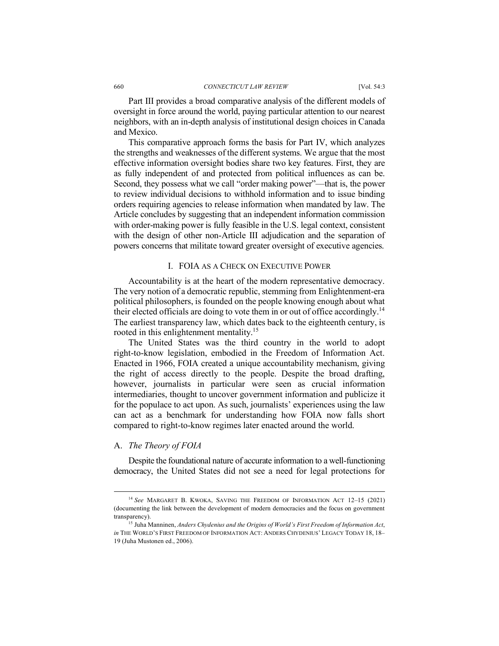Part III provides a broad comparative analysis of the different models of oversight in force around the world, paying particular attention to our nearest neighbors, with an in-depth analysis of institutional design choices in Canada and Mexico.

This comparative approach forms the basis for Part IV, which analyzes the strengths and weaknesses of the different systems. We argue that the most effective information oversight bodies share two key features. First, they are as fully independent of and protected from political influences as can be. Second, they possess what we call "order making power"—that is, the power to review individual decisions to withhold information and to issue binding orders requiring agencies to release information when mandated by law. The Article concludes by suggesting that an independent information commission with order-making power is fully feasible in the U.S. legal context, consistent with the design of other non-Article III adjudication and the separation of powers concerns that militate toward greater oversight of executive agencies.

#### I. FOIA AS A CHECK ON EXECUTIVE POWER

Accountability is at the heart of the modern representative democracy. The very notion of a democratic republic, stemming from Enlightenment-era political philosophers, is founded on the people knowing enough about what their elected officials are doing to vote them in or out of office accordingly.<sup>14</sup> The earliest transparency law, which dates back to the eighteenth century, is rooted in this enlightenment mentality.15

The United States was the third country in the world to adopt right-to-know legislation, embodied in the Freedom of Information Act. Enacted in 1966, FOIA created a unique accountability mechanism, giving the right of access directly to the people. Despite the broad drafting, however, journalists in particular were seen as crucial information intermediaries, thought to uncover government information and publicize it for the populace to act upon. As such, journalists' experiences using the law can act as a benchmark for understanding how FOIA now falls short compared to right-to-know regimes later enacted around the world.

#### A. *The Theory of FOIA*

Despite the foundational nature of accurate information to a well-functioning democracy, the United States did not see a need for legal protections for

 <sup>14</sup> *See* MARGARET B. KWOKA, SAVING THE FREEDOM OF INFORMATION ACT 12–15 (2021) (documenting the link between the development of modern democracies and the focus on government transparency). 15 Juha Manninen, *Anders Chydenius and the Origins of World's First Freedom of Information Act*,

*in* THE WORLD'S FIRST FREEDOM OF INFORMATION ACT: ANDERS CHYDENIUS' LEGACY TODAY 18, 18– 19 (Juha Mustonen ed., 2006).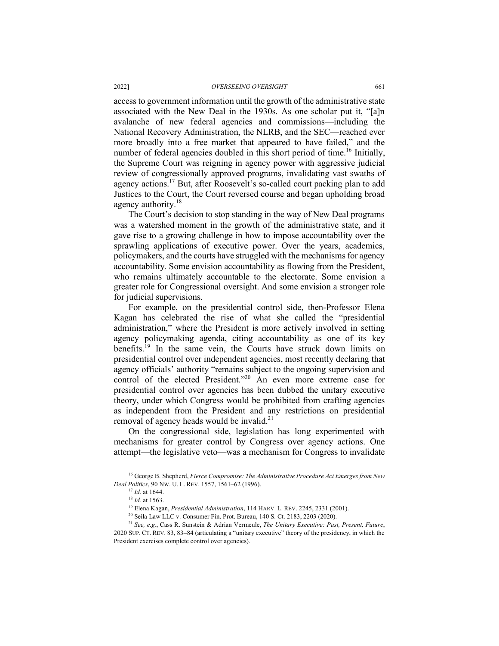access to government information until the growth of the administrative state associated with the New Deal in the 1930s. As one scholar put it, "[a]n avalanche of new federal agencies and commissions—including the National Recovery Administration, the NLRB, and the SEC—reached ever more broadly into a free market that appeared to have failed," and the number of federal agencies doubled in this short period of time.<sup>16</sup> Initially, the Supreme Court was reigning in agency power with aggressive judicial review of congressionally approved programs, invalidating vast swaths of agency actions.17 But, after Roosevelt's so-called court packing plan to add Justices to the Court, the Court reversed course and began upholding broad agency authority.<sup>18</sup>

The Court's decision to stop standing in the way of New Deal programs was a watershed moment in the growth of the administrative state, and it gave rise to a growing challenge in how to impose accountability over the sprawling applications of executive power. Over the years, academics, policymakers, and the courts have struggled with the mechanisms for agency accountability. Some envision accountability as flowing from the President, who remains ultimately accountable to the electorate. Some envision a greater role for Congressional oversight. And some envision a stronger role for judicial supervisions.

For example, on the presidential control side, then-Professor Elena Kagan has celebrated the rise of what she called the "presidential administration," where the President is more actively involved in setting agency policymaking agenda, citing accountability as one of its key benefits.<sup>19</sup> In the same vein, the Courts have struck down limits on presidential control over independent agencies, most recently declaring that agency officials' authority "remains subject to the ongoing supervision and control of the elected President."<sup>20</sup> An even more extreme case for presidential control over agencies has been dubbed the unitary executive theory, under which Congress would be prohibited from crafting agencies as independent from the President and any restrictions on presidential removal of agency heads would be invalid.<sup>21</sup>

On the congressional side, legislation has long experimented with mechanisms for greater control by Congress over agency actions. One attempt—the legislative veto—was a mechanism for Congress to invalidate

 <sup>16</sup> George B. Shepherd, *Fierce Compromise: The Administrative Procedure Act Emerges from New Deal Politics*, 90 NW. U. L. REV. 1557, 1561–62 (1996).

<sup>17</sup> *Id.* at 1644.

<sup>&</sup>lt;sup>18</sup> *Id.* at 1563.<br><sup>19</sup> Elena Kagan, *Presidential Administration*, 114 HARV. L. REV. 2245, 2331 (2001).<br><sup>20</sup> Seila Law LLC v. Consumer Fin. Prot. Bureau, 140 S. Ct. 2183, 2203 (2020).<br><sup>21</sup> See, e.g., Cass R. Sunstein &

<sup>2020</sup> SUP. CT. REV. 83, 83–84 (articulating a "unitary executive" theory of the presidency, in which the President exercises complete control over agencies).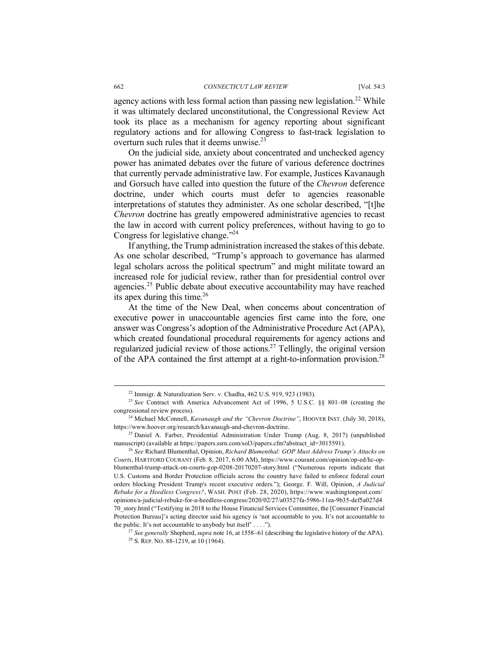agency actions with less formal action than passing new legislation.<sup>22</sup> While it was ultimately declared unconstitutional, the Congressional Review Act took its place as a mechanism for agency reporting about significant regulatory actions and for allowing Congress to fast-track legislation to overturn such rules that it deems unwise.<sup>23</sup>

On the judicial side, anxiety about concentrated and unchecked agency power has animated debates over the future of various deference doctrines that currently pervade administrative law. For example, Justices Kavanaugh and Gorsuch have called into question the future of the *Chevron* deference doctrine, under which courts must defer to agencies reasonable interpretations of statutes they administer. As one scholar described, "[t]he *Chevron* doctrine has greatly empowered administrative agencies to recast the law in accord with current policy preferences, without having to go to Congress for legislative change. $2^{24}$ 

If anything, the Trump administration increased the stakes of this debate. As one scholar described, "Trump's approach to governance has alarmed legal scholars across the political spectrum" and might militate toward an increased role for judicial review, rather than for presidential control over agencies.<sup>25</sup> Public debate about executive accountability may have reached its apex during this time. $26$ 

At the time of the New Deal, when concerns about concentration of executive power in unaccountable agencies first came into the fore, one answer was Congress's adoption of the Administrative Procedure Act (APA), which created foundational procedural requirements for agency actions and regularized judicial review of those actions.<sup>27</sup> Tellingly, the original version of the APA contained the first attempt at a right-to-information provision.28

 $22$  Immigr. & Naturalization Serv. v. Chadha, 462 U.S. 919, 923 (1983).

<sup>23</sup> *See* Contract with America Advancement Act of 1996, 5 U.S.C. §§ 801–08 (creating the congressional review process).

<sup>&</sup>lt;sup>24</sup> Michael McConnell, *Kavanaugh and the "Chevron Doctrine"*, HOOVER INST. (July 30, 2018), https://www.hoover.org/research/kavanaugh-and-chevron-doctrine.

 $^{25}$  Daniel A. Farber, Presidential Administration Under Trump (Aug. 8, 2017) (unpublished manuscript) (available at https://papers.ssrn.com/sol3/papers.cfm?abstract\_id=3015591). 26 *See* Richard Blumenthal, Opinion, *Richard Blumenthal: GOP Must Address Trump's Attacks on* 

*Courts*, HARTFORD COURANT (Feb. 8, 2017, 6:00 AM), https://www.courant.com/opinion/op-ed/hc-opblumenthal-trump-attack-on-courts-gop-0208-20170207-story.html ("Numerous reports indicate that U.S. Customs and Border Protection officials across the country have failed to enforce federal court orders blocking President Trump's recent executive orders."); George. F. Will, Opinion, *A Judicial Rebuke for a Heedless Congress?*, WASH. POST (Feb. 28, 2020), https://www.washingtonpost.com/ opinions/a-judicial-rebuke-for-a-heedless-congress/2020/02/27/a03527fa-5986-11ea-9b35-def5a027d4 70\_story.html ("Testifying in 2018 to the House Financial Services Committee, the [Consumer Financial Protection Bureau]'s acting director said his agency is 'not accountable to you. It's not accountable to the public. It's not accountable to any body but itself'  $\dots$ ").

<sup>27</sup> *See generally* Shepherd, *supra* note 16, at 1558-61 (describing the legislative history of the APA).

 $28$  S. REP. NO. 88-1219, at 10 (1964).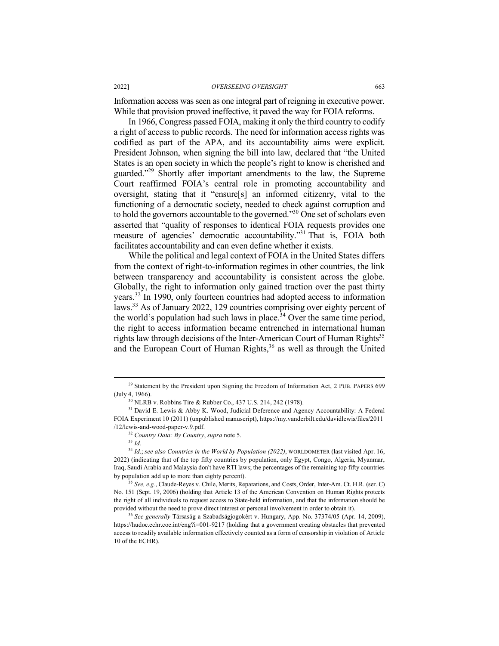Information access was seen as one integral part of reigning in executive power. While that provision proved ineffective, it paved the way for FOIA reforms.

In 1966, Congress passed FOIA, making it only the third country to codify a right of access to public records. The need for information access rights was codified as part of the APA, and its accountability aims were explicit. President Johnson, when signing the bill into law, declared that "the United States is an open society in which the people's right to know is cherished and guarded."<sup>29</sup> Shortly after important amendments to the law, the Supreme Court reaffirmed FOIA's central role in promoting accountability and oversight, stating that it "ensure[s] an informed citizenry, vital to the functioning of a democratic society, needed to check against corruption and to hold the governors accountable to the governed."30 One set of scholars even asserted that "quality of responses to identical FOIA requests provides one measure of agencies' democratic accountability."31 That is, FOIA both facilitates accountability and can even define whether it exists.

While the political and legal context of FOIA in the United States differs from the context of right-to-information regimes in other countries, the link between transparency and accountability is consistent across the globe. Globally, the right to information only gained traction over the past thirty years.<sup>32</sup> In 1990, only fourteen countries had adopted access to information laws.<sup>33</sup> As of January 2022, 129 countries comprising over eighty percent of the world's population had such laws in place.<sup>34</sup> Over the same time period, the right to access information became entrenched in international human rights law through decisions of the Inter-American Court of Human Rights<sup>35</sup> and the European Court of Human Rights,  $36$  as well as through the United

<sup>&</sup>lt;sup>29</sup> Statement by the President upon Signing the Freedom of Information Act, 2 PUB. PAPERS 699 (July 4, 1966).

<sup>&</sup>lt;sup>30</sup> NLRB v. Robbins Tire & Rubber Co., 437 U.S. 214, 242 (1978).<br><sup>31</sup> David E. Lewis & Abby K. Wood, Judicial Deference and Agency Accountability: A Federal FOIA Experiment 10 (2011) (unpublished manuscript), https://my.vanderbilt.edu/davidlewis/files/2011 /12/lewis-and-wood-paper-v.9.pdf. 32 *Country Data: By Country*, *supra* note 5.

<sup>33</sup> *Id.*

<sup>34</sup> *Id.*; *see also Countries in the World by Population (2022)*, WORLDOMETER (last visited Apr. 16, 2022) (indicating that of the top fifty countries by population, only Egypt, Congo, Algeria, Myanmar, Iraq, Saudi Arabia and Malaysia don't have RTI laws; the percentages of the remaining top fifty countries by population add up to more than eighty percent).

<sup>35</sup> *See, e.g.*, Claude-Reyes v. Chile, Merits, Reparations, and Costs, Order, Inter-Am. Ct. H.R. (ser. C) No. 151 (Sept. 19, 2006) (holding that Article 13 of the American Convention on Human Rights protects the right of all individuals to request access to State-held information, and that the information should be provided without the need to prove direct interest or personal involvement in order to obtain it).

<sup>36</sup> *See generally* Társaság a Szabadságjogokért v. Hungary, App. No. 37374/05 (Apr. 14, 2009), https://hudoc.echr.coe.int/eng?i=001-9217 (holding that a government creating obstacles that prevented access to readily available information effectively counted as a form of censorship in violation of Article 10 of the ECHR).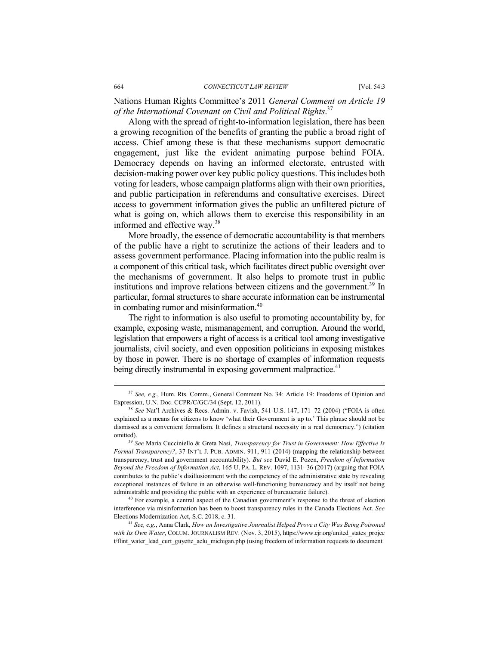Nations Human Rights Committee's 2011 *General Comment on Article 19 of the International Covenant on Civil and Political Rights*. 37

Along with the spread of right-to-information legislation, there has been a growing recognition of the benefits of granting the public a broad right of access. Chief among these is that these mechanisms support democratic engagement, just like the evident animating purpose behind FOIA. Democracy depends on having an informed electorate, entrusted with decision-making power over key public policy questions. This includes both voting for leaders, whose campaign platforms align with their own priorities, and public participation in referendums and consultative exercises. Direct access to government information gives the public an unfiltered picture of what is going on, which allows them to exercise this responsibility in an informed and effective way.<sup>38</sup>

More broadly, the essence of democratic accountability is that members of the public have a right to scrutinize the actions of their leaders and to assess government performance. Placing information into the public realm is a component of this critical task, which facilitates direct public oversight over the mechanisms of government. It also helps to promote trust in public institutions and improve relations between citizens and the government.<sup>39</sup> In particular, formal structures to share accurate information can be instrumental in combating rumor and misinformation.<sup>40</sup>

The right to information is also useful to promoting accountability by, for example, exposing waste, mismanagement, and corruption. Around the world, legislation that empowers a right of access is a critical tool among investigative journalists, civil society, and even opposition politicians in exposing mistakes by those in power. There is no shortage of examples of information requests being directly instrumental in exposing government malpractice.<sup>41</sup>

interference via misinformation has been to boost transparency rules in the Canada Elections Act. *See* Elections Modernization Act, S.C. 2018, c. 31. 41 *See, e.g.*, Anna Clark, *How an Investigative Journalist Helped Prove a City Was Being Poisoned* 

 <sup>37</sup> *See, e.g.*, Hum. Rts. Comm., General Comment No. 34: Article 19: Freedoms of Opinion and Expression, U.N. Doc. CCPR/C/GC/34 (Sept. 12, 2011).

<sup>38</sup> *See* Nat'l Archives & Recs. Admin. v. Favish, 541 U.S. 147, 171–72 (2004) ("FOIA is often explained as a means for citizens to know 'what their Government is up to.' This phrase should not be dismissed as a convenient formalism. It defines a structural necessity in a real democracy.") (citation omitted). 39 *See* Maria Cucciniello & Greta Nasi, *Transparency for Trust in Government: How Effective Is* 

*Formal Transparency?*, 37 INT'L J. PUB. ADMIN. 911, 911 (2014) (mapping the relationship between transparency, trust and government accountability). *But see* David E. Pozen, *Freedom of Information Beyond the Freedom of Information Act*, 165 U. PA. L. REV. 1097, 1131–36 (2017) (arguing that FOIA contributes to the public's disillusionment with the competency of the administrative state by revealing exceptional instances of failure in an otherwise well-functioning bureaucracy and by itself not being administrable and providing the public with an experience of bureaucratic failure). 40 For example, a central aspect of the Canadian government's response to the threat of election

*with Its Own Water*, COLUM. JOURNALISM REV. (Nov. 3, 2015), https://www.cjr.org/united\_states\_projec t/flint water lead curt guyette aclu michigan.php (using freedom of information requests to document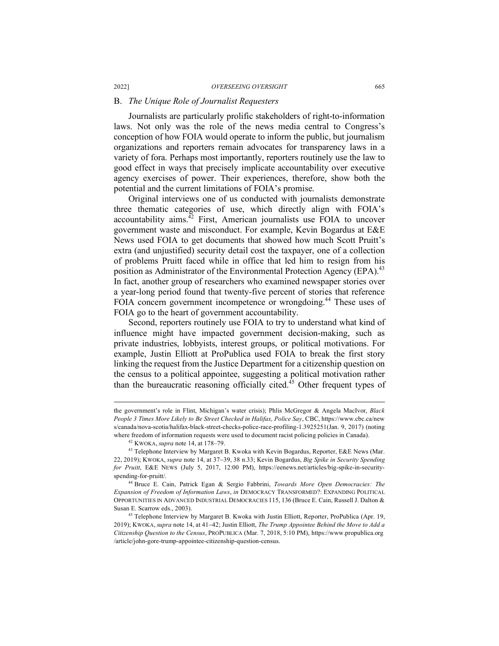#### B. *The Unique Role of Journalist Requesters*

Journalists are particularly prolific stakeholders of right-to-information laws. Not only was the role of the news media central to Congress's conception of how FOIA would operate to inform the public, but journalism organizations and reporters remain advocates for transparency laws in a variety of fora. Perhaps most importantly, reporters routinely use the law to good effect in ways that precisely implicate accountability over executive agency exercises of power. Their experiences, therefore, show both the potential and the current limitations of FOIA's promise.

Original interviews one of us conducted with journalists demonstrate three thematic categories of use, which directly align with FOIA's accountability aims. $42$  First, American journalists use FOIA to uncover government waste and misconduct. For example, Kevin Bogardus at E&E News used FOIA to get documents that showed how much Scott Pruitt's extra (and unjustified) security detail cost the taxpayer, one of a collection of problems Pruitt faced while in office that led him to resign from his position as Administrator of the Environmental Protection Agency (EPA).<sup>43</sup> In fact, another group of researchers who examined newspaper stories over a year-long period found that twenty-five percent of stories that reference FOIA concern government incompetence or wrongdoing.<sup>44</sup> These uses of FOIA go to the heart of government accountability.

Second, reporters routinely use FOIA to try to understand what kind of influence might have impacted government decision-making, such as private industries, lobbyists, interest groups, or political motivations. For example, Justin Elliott at ProPublica used FOIA to break the first story linking the request from the Justice Department for a citizenship question on the census to a political appointee, suggesting a political motivation rather than the bureaucratic reasoning officially cited.<sup>45</sup> Other frequent types of

the government's role in Flint, Michigan's water crisis); Phlis McGregor & Angela MacIvor, *Black People 3 Times More Likely to Be Street Checked in Halifax, Police Say*, CBC, https://www.cbc.ca/new s/canada/nova-scotia/halifax-black-street-checks-police-race-profiling-1.3925251(Jan. 9, 2017) (noting where freedom of information requests were used to document racist policing policies in Canada).<br><sup>42</sup> KWOKA, *supra* note 14, at 178–79.<br><sup>43</sup> Telephone Interview by Margaret B. Kwoka with Kevin Bogardus, Reporter, E&E News

<sup>22, 2019);</sup> KWOKA, *supra* note 14, at 37-39, 38 n.33; Kevin Bogardus, *Big Spike in Security Spending for Pruitt*, E&E NEWS (July 5, 2017, 12:00 PM), https://eenews.net/articles/big-spike-in-securityspending-for-pruitt/.

<sup>44</sup> Bruce E. Cain, Patrick Egan & Sergio Fabbrini, *Towards More Open Democracies: The Expansion of Freedom of Information Laws*, *in* DEMOCRACY TRANSFORMED?: EXPANDING POLITICAL OPPORTUNITIES IN ADVANCED INDUSTRIAL DEMOCRACIES 115, 136 (Bruce E. Cain, Russell J. Dalton & Susan E. Scarrow eds., 2003).

<sup>45</sup> Telephone Interview by Margaret B. Kwoka with Justin Elliott, Reporter, ProPublica (Apr. 19, 2019); KWOKA, *supra* note 14, at 41-42; Justin Elliott, *The Trump Appointee Behind the Move to Add a Citizenship Question to the Census*, PROPUBLICA (Mar. 7, 2018, 5:10 PM), https://www.propublica.org /article/john-gore-trump-appointee-citizenship-question-census.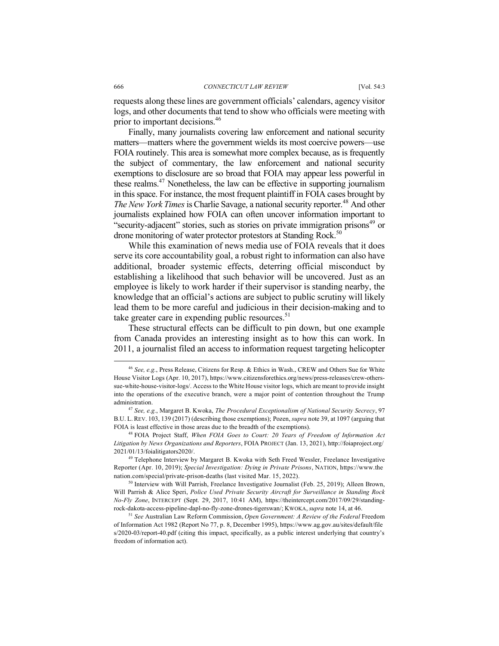requests along these lines are government officials' calendars, agency visitor logs, and other documents that tend to show who officials were meeting with prior to important decisions.<sup>46</sup>

Finally, many journalists covering law enforcement and national security matters—matters where the government wields its most coercive powers—use FOIA routinely. This area is somewhat more complex because, as is frequently the subject of commentary, the law enforcement and national security exemptions to disclosure are so broad that FOIA may appear less powerful in these realms.47 Nonetheless, the law can be effective in supporting journalism in this space. For instance, the most frequent plaintiff in FOIA cases brought by *The New York Times* is Charlie Savage, a national security reporter.<sup>48</sup> And other journalists explained how FOIA can often uncover information important to "security-adjacent" stories, such as stories on private immigration prisons<sup>49</sup> or drone monitoring of water protector protestors at Standing Rock.<sup>50</sup>

While this examination of news media use of FOIA reveals that it does serve its core accountability goal, a robust right to information can also have additional, broader systemic effects, deterring official misconduct by establishing a likelihood that such behavior will be uncovered. Just as an employee is likely to work harder if their supervisor is standing nearby, the knowledge that an official's actions are subject to public scrutiny will likely lead them to be more careful and judicious in their decision-making and to take greater care in expending public resources. $51$ 

These structural effects can be difficult to pin down, but one example from Canada provides an interesting insight as to how this can work. In 2011, a journalist filed an access to information request targeting helicopter

 <sup>46</sup> *See, e.g.*, Press Release, Citizens for Resp. & Ethics in Wash., CREW and Others Sue for White House Visitor Logs (Apr. 10, 2017), https://www.citizensforethics.org/news/press-releases/crew-otherssue-white-house-visitor-logs/. Access to the White House visitor logs, which are meant to provide insight into the operations of the executive branch, were a major point of contention throughout the Trump administration. 47 *See, e.g.*, Margaret B. Kwoka, *The Procedural Exceptionalism of National Security Secrecy*, 97

B.U. L. REV. 103, 139 (2017) (describing those exemptions); Pozen, *supra* note 39, at 1097 (arguing that FOIA is least effective in those areas due to the breadth of the exemptions).

<sup>48</sup> FOIA Project Staff, *When FOIA Goes to Court: 20 Years of Freedom of Information Act Litigation by News Organizations and Reporters*, FOIA PROJECT (Jan. 13, 2021), http://foiaproject.org/ 2021/01/13/foialitigators2020/.

<sup>&</sup>lt;sup>49</sup> Telephone Interview by Margaret B. Kwoka with Seth Freed Wessler, Freelance Investigative Reporter (Apr. 10, 2019); *Special Investigation: Dying in Private Prisons*, NATION, https://www.the nation.com/special/private-prison-deaths (last visited Mar. 15, 2022).

<sup>&</sup>lt;sup>50</sup> Interview with Will Parrish, Freelance Investigative Journalist (Feb. 25, 2019); Alleen Brown, Will Parrish & Alice Speri, *Police Used Private Security Aircraft for Surveillance in Standing Rock No-Fly Zone*, INTERCEPT (Sept. 29, 2017, 10:41 AM), https://theintercept.com/2017/09/29/standingrock-dakota-access-pipeline-dapl-no-fly-zone-drones-tigerswan/; KWOKA, *supra* note 14, at 46.

<sup>51</sup> *See* Australian Law Reform Commission, *Open Government: A Review of the Federal* Freedom of Information Act 1982 (Report No 77, p. 8, December 1995), https://www.ag.gov.au/sites/default/file s/2020-03/report-40.pdf (citing this impact, specifically, as a public interest underlying that country's freedom of information act).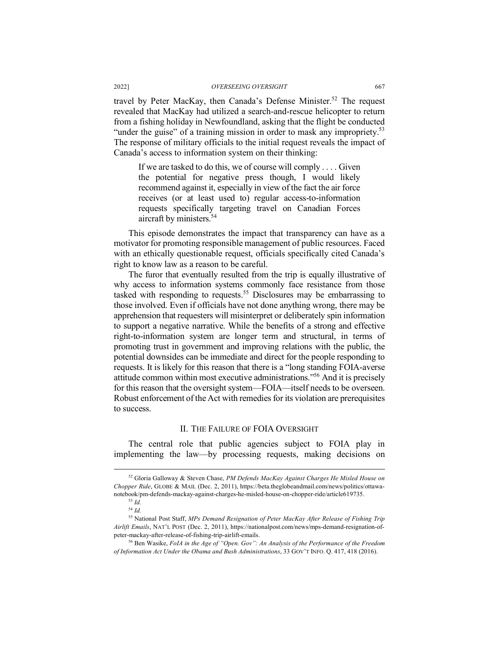travel by Peter MacKay, then Canada's Defense Minister.<sup>52</sup> The request revealed that MacKay had utilized a search-and-rescue helicopter to return from a fishing holiday in Newfoundland, asking that the flight be conducted "under the guise" of a training mission in order to mask any impropriety.<sup>53</sup> The response of military officials to the initial request reveals the impact of Canada's access to information system on their thinking:

If we are tasked to do this, we of course will comply . . . . Given the potential for negative press though, I would likely recommend against it, especially in view of the fact the air force receives (or at least used to) regular access-to-information requests specifically targeting travel on Canadian Forces aircraft by ministers.<sup>54</sup>

This episode demonstrates the impact that transparency can have as a motivator for promoting responsible management of public resources. Faced with an ethically questionable request, officials specifically cited Canada's right to know law as a reason to be careful.

The furor that eventually resulted from the trip is equally illustrative of why access to information systems commonly face resistance from those tasked with responding to requests.55 Disclosures may be embarrassing to those involved. Even if officials have not done anything wrong, there may be apprehension that requesters will misinterpret or deliberately spin information to support a negative narrative. While the benefits of a strong and effective right-to-information system are longer term and structural, in terms of promoting trust in government and improving relations with the public, the potential downsides can be immediate and direct for the people responding to requests. It is likely for this reason that there is a "long standing FOIA-averse attitude common within most executive administrations."56 And it is precisely for this reason that the oversight system—FOIA—itself needs to be overseen. Robust enforcement of the Act with remedies for its violation are prerequisites to success.

#### II. THE FAILURE OF FOIA OVERSIGHT

The central role that public agencies subject to FOIA play in implementing the law—by processing requests, making decisions on

 <sup>52</sup> Gloria Galloway & Steven Chase, *PM Defends MacKay Against Charges He Misled House on Chopper Ride*, GLOBE & MAIL (Dec. 2, 2011), https://beta.theglobeandmail.com/news/politics/ottawanotebook/pm-defends-mackay-against-charges-he-misled-house-on-chopper-ride/article619735. 53 *Id.*

<sup>54</sup> *Id.*

<sup>55</sup> National Post Staff, *MPs Demand Resignation of Peter MacKay After Release of Fishing Trip Airlift Emails*, NAT'L POST (Dec. 2, 2011), https://nationalpost.com/news/mps-demand-resignation-ofpeter-mackay-after-release-of-fishing-trip-airlift-emails. 56 Ben Wasike, *FoIA in the Age of "Open. Gov": An Analysis of the Performance of the Freedom* 

*of Information Act Under the Obama and Bush Administrations*, 33 GOV'T INFO. Q. 417, 418 (2016).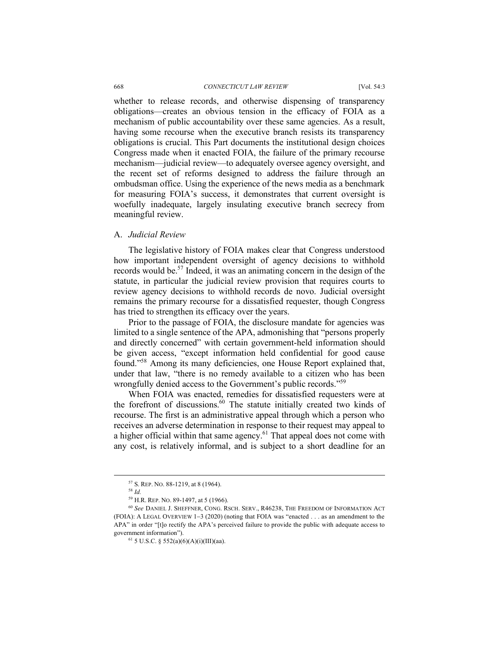#### 668 *CONNECTICUT LAW REVIEW* [Vol. 54:3

whether to release records, and otherwise dispensing of transparency obligations—creates an obvious tension in the efficacy of FOIA as a mechanism of public accountability over these same agencies. As a result, having some recourse when the executive branch resists its transparency obligations is crucial. This Part documents the institutional design choices Congress made when it enacted FOIA, the failure of the primary recourse mechanism—judicial review—to adequately oversee agency oversight, and the recent set of reforms designed to address the failure through an ombudsman office. Using the experience of the news media as a benchmark for measuring FOIA's success, it demonstrates that current oversight is woefully inadequate, largely insulating executive branch secrecy from meaningful review.

#### A. *Judicial Review*

The legislative history of FOIA makes clear that Congress understood how important independent oversight of agency decisions to withhold records would be.57 Indeed, it was an animating concern in the design of the statute, in particular the judicial review provision that requires courts to review agency decisions to withhold records de novo. Judicial oversight remains the primary recourse for a dissatisfied requester, though Congress has tried to strengthen its efficacy over the years.

Prior to the passage of FOIA, the disclosure mandate for agencies was limited to a single sentence of the APA, admonishing that "persons properly and directly concerned" with certain government-held information should be given access, "except information held confidential for good cause found."58 Among its many deficiencies, one House Report explained that, under that law, "there is no remedy available to a citizen who has been wrongfully denied access to the Government's public records."<sup>59</sup>

When FOIA was enacted, remedies for dissatisfied requesters were at the forefront of discussions.<sup>60</sup> The statute initially created two kinds of recourse. The first is an administrative appeal through which a person who receives an adverse determination in response to their request may appeal to a higher official within that same agency.<sup>61</sup> That appeal does not come with any cost, is relatively informal, and is subject to a short deadline for an

<sup>&</sup>lt;sup>57</sup> S. REP. NO. 88-1219, at 8 (1964).<br><sup>58</sup> *Id.*<br><sup>59</sup> H.R. REP. NO. 89-1497, at 5 (1966).<br><sup>60</sup> *See D*ANIEL J. SHEFFNER, CONG. RSCH. SERV., R46238, THE FREEDOM OF INFORMATION ACT (FOIA): A LEGAL OVERVIEW 1-3 (2020) (noting that FOIA was "enacted . . . as an amendment to the APA" in order "[t]o rectify the APA's perceived failure to provide the public with adequate access to government information").

<sup>61</sup> 5 U.S.C. § 552(a)(6)(A)(i)(III)(aa).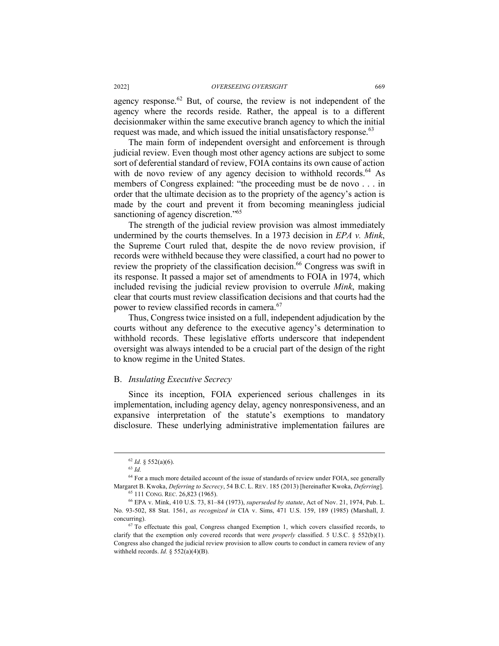agency response. $62$  But, of course, the review is not independent of the agency where the records reside. Rather, the appeal is to a different decisionmaker within the same executive branch agency to which the initial request was made, and which issued the initial unsatisfactory response.<sup>63</sup>

The main form of independent oversight and enforcement is through judicial review. Even though most other agency actions are subject to some sort of deferential standard of review, FOIA contains its own cause of action with de novo review of any agency decision to withhold records.<sup>64</sup> As members of Congress explained: "the proceeding must be de novo . . . in order that the ultimate decision as to the propriety of the agency's action is made by the court and prevent it from becoming meaningless judicial sanctioning of agency discretion."<sup>65</sup>

The strength of the judicial review provision was almost immediately undermined by the courts themselves. In a 1973 decision in *EPA v. Mink*, the Supreme Court ruled that, despite the de novo review provision, if records were withheld because they were classified, a court had no power to review the propriety of the classification decision.<sup>66</sup> Congress was swift in its response. It passed a major set of amendments to FOIA in 1974, which included revising the judicial review provision to overrule *Mink*, making clear that courts must review classification decisions and that courts had the power to review classified records in camera.<sup>67</sup>

Thus, Congress twice insisted on a full, independent adjudication by the courts without any deference to the executive agency's determination to withhold records. These legislative efforts underscore that independent oversight was always intended to be a crucial part of the design of the right to know regime in the United States.

#### B. *Insulating Executive Secrecy*

Since its inception, FOIA experienced serious challenges in its implementation, including agency delay, agency nonresponsiveness, and an expansive interpretation of the statute's exemptions to mandatory disclosure. These underlying administrative implementation failures are

 <sup>62</sup> *Id.* § 552(a)(6).

<sup>63</sup> *Id.*

 $64$  For a much more detailed account of the issue of standards of review under FOIA, see generally Margaret B. Kwoka, *Deferring to Secrecy*, 54 B.C. L. REV. 185 (2013) [hereinafter Kwoka, *Deferring*]. 65 111 CONG. REC. 26,823 (1965).

<sup>66</sup> EPA v. Mink, 410 U.S. 73, 81–84 (1973), *superseded by statute*, Act of Nov. 21, 1974, Pub. L. No. 93-502, 88 Stat. 1561, *as recognized in* CIA v. Sims, 471 U.S. 159, 189 (1985) (Marshall, J. concurring). 67 To effectuate this goal, Congress changed Exemption 1, which covers classified records, to

clarify that the exemption only covered records that were *properly* classified. 5 U.S.C. § 552(b)(1). Congress also changed the judicial review provision to allow courts to conduct in camera review of any withheld records.  $Id. \$  552(a)(4)(B).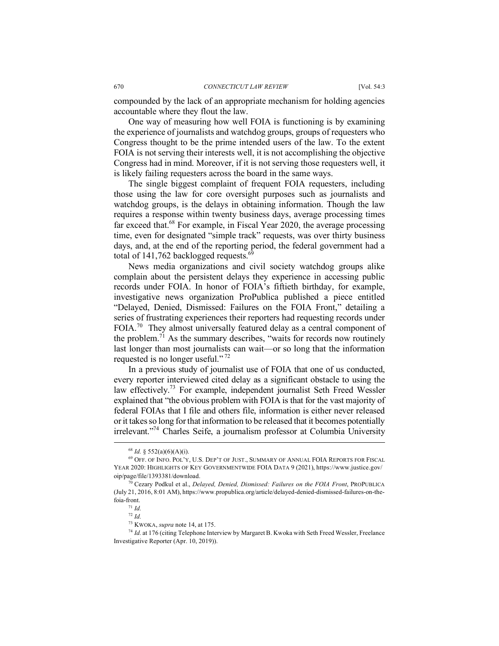compounded by the lack of an appropriate mechanism for holding agencies accountable where they flout the law.

One way of measuring how well FOIA is functioning is by examining the experience of journalists and watchdog groups, groups of requesters who Congress thought to be the prime intended users of the law. To the extent FOIA is not serving their interests well, it is not accomplishing the objective Congress had in mind. Moreover, if it is not serving those requesters well, it is likely failing requesters across the board in the same ways.

The single biggest complaint of frequent FOIA requesters, including those using the law for core oversight purposes such as journalists and watchdog groups, is the delays in obtaining information. Though the law requires a response within twenty business days, average processing times far exceed that.<sup>68</sup> For example, in Fiscal Year 2020, the average processing time, even for designated "simple track" requests, was over thirty business days, and, at the end of the reporting period, the federal government had a total of 141,762 backlogged requests. $6$ 

News media organizations and civil society watchdog groups alike complain about the persistent delays they experience in accessing public records under FOIA. In honor of FOIA's fiftieth birthday, for example, investigative news organization ProPublica published a piece entitled "Delayed, Denied, Dismissed: Failures on the FOIA Front," detailing a series of frustrating experiences their reporters had requesting records under FOIA.<sup>70</sup> They almost universally featured delay as a central component of the problem.<sup>71</sup> As the summary describes, "waits for records now routinely last longer than most journalists can wait—or so long that the information requested is no longer useful." <sup>72</sup>

In a previous study of journalist use of FOIA that one of us conducted, every reporter interviewed cited delay as a significant obstacle to using the law effectively.<sup>73</sup> For example, independent journalist Seth Freed Wessler explained that "the obvious problem with FOIA is that for the vast majority of federal FOIAs that I file and others file, information is either never released or it takes so long for that information to be released that it becomes potentially irrelevant."74 Charles Seife, a journalism professor at Columbia University

 <sup>68</sup> *Id.* § 552(a)(6)(A)(i).

<sup>69</sup> OFF. OF INFO. POL'Y, U.S. DEP'T OF JUST., SUMMARY OF ANNUAL FOIA REPORTS FOR FISCAL YEAR 2020: HIGHLIGHTS OF KEY GOVERNMENTWIDE FOIA DATA 9 (2021), https://www.justice.gov/ oip/page/file/1393381/download.

<sup>70</sup> Cezary Podkul et al., *Delayed, Denied, Dismissed: Failures on the FOIA Front*, PROPUBLICA (July 21, 2016, 8:01 AM), https://www.propublica.org/article/delayed-denied-dismissed-failures-on-thefoia-front.

<sup>71</sup> *Id.*

<sup>72</sup> *Id.*

<sup>73</sup> KWOKA, *supra* note 14, at 175.

<sup>74</sup> *Id.* at 176 (citing Telephone Interview by Margaret B. Kwoka with Seth Freed Wessler, Freelance Investigative Reporter (Apr. 10, 2019)).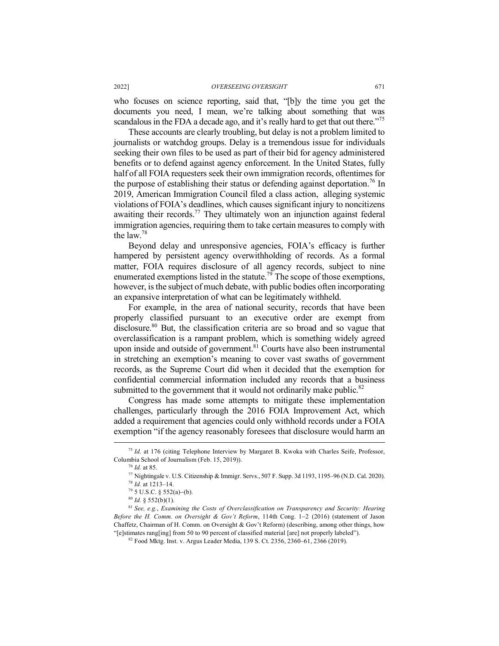who focuses on science reporting, said that, "[b]y the time you get the documents you need, I mean, we're talking about something that was scandalous in the FDA a decade ago, and it's really hard to get that out there."<sup>75</sup>

These accounts are clearly troubling, but delay is not a problem limited to journalists or watchdog groups. Delay is a tremendous issue for individuals seeking their own files to be used as part of their bid for agency administered benefits or to defend against agency enforcement. In the United States, fully half of all FOIA requesters seek their own immigration records, oftentimes for the purpose of establishing their status or defending against deportation.<sup>76</sup> In 2019, American Immigration Council filed a class action, alleging systemic violations of FOIA's deadlines, which causes significant injury to noncitizens awaiting their records.<sup>77</sup> They ultimately won an injunction against federal immigration agencies, requiring them to take certain measures to comply with the law.78

Beyond delay and unresponsive agencies, FOIA's efficacy is further hampered by persistent agency overwithholding of records. As a formal matter, FOIA requires disclosure of all agency records, subject to nine enumerated exemptions listed in the statute.<sup>79</sup> The scope of those exemptions, however, is the subject of much debate, with public bodies often incorporating an expansive interpretation of what can be legitimately withheld.

For example, in the area of national security, records that have been properly classified pursuant to an executive order are exempt from disclosure.80 But, the classification criteria are so broad and so vague that overclassification is a rampant problem, which is something widely agreed upon inside and outside of government. $81$  Courts have also been instrumental in stretching an exemption's meaning to cover vast swaths of government records, as the Supreme Court did when it decided that the exemption for confidential commercial information included any records that a business submitted to the government that it would not ordinarily make public. $82$ 

Congress has made some attempts to mitigate these implementation challenges, particularly through the 2016 FOIA Improvement Act, which added a requirement that agencies could only withhold records under a FOIA exemption "if the agency reasonably foresees that disclosure would harm an

 <sup>75</sup> *Id.* at 176 (citing Telephone Interview by Margaret B. Kwoka with Charles Seife, Professor, Columbia School of Journalism (Feb. 15, 2019)).<br><sup>76</sup> Id. at 85.

<sup>76</sup> *Id.* at 85. 77 Nightingale v. U.S. Citizenship & Immigr. Servs., 507 F. Supp. 3d 1193, 1195–96 (N.D. Cal. 2020). 78 *Id.* at 1213–14.

 $79\,5$  U.S.C. § 552(a)–(b).

<sup>80</sup> *Id.* § 552(b)(1). 81 *See, e.g.*, *Examining the Costs of Overclassification on Transparency and Security: Hearing Before the H. Comm. on Oversight & Gov't Reform*, 114th Cong. 1-2 (2016) (statement of Jason Chaffetz, Chairman of H. Comm. on Oversight & Gov't Reform) (describing, among other things, how "[e]stimates rang[ing] from 50 to 90 percent of classified material [are] not properly labeled").

<sup>82</sup> Food Mktg. Inst. v. Argus Leader Media, 139 S. Ct. 2356, 2360–61, 2366 (2019).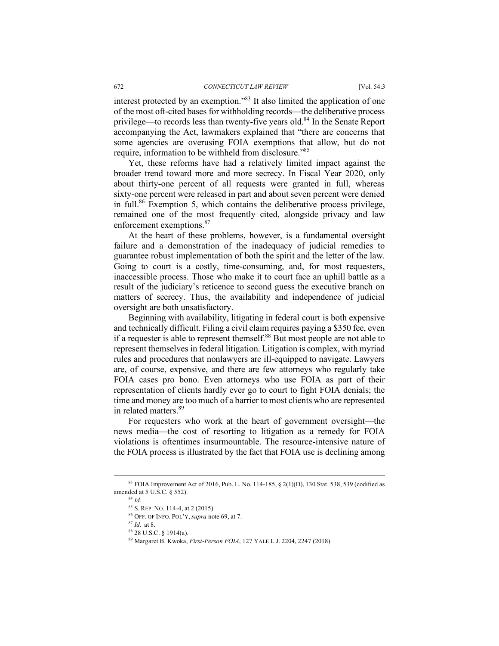interest protected by an exemption."83 It also limited the application of one of the most oft-cited bases for withholding records—the deliberative process privilege—to records less than twenty-five years old.84 In the Senate Report accompanying the Act, lawmakers explained that "there are concerns that some agencies are overusing FOIA exemptions that allow, but do not require, information to be withheld from disclosure."85

Yet, these reforms have had a relatively limited impact against the broader trend toward more and more secrecy. In Fiscal Year 2020, only about thirty-one percent of all requests were granted in full, whereas sixty-one percent were released in part and about seven percent were denied in full.86 Exemption 5, which contains the deliberative process privilege, remained one of the most frequently cited, alongside privacy and law enforcement exemptions.<sup>87</sup>

At the heart of these problems, however, is a fundamental oversight failure and a demonstration of the inadequacy of judicial remedies to guarantee robust implementation of both the spirit and the letter of the law. Going to court is a costly, time-consuming, and, for most requesters, inaccessible process. Those who make it to court face an uphill battle as a result of the judiciary's reticence to second guess the executive branch on matters of secrecy. Thus, the availability and independence of judicial oversight are both unsatisfactory.

Beginning with availability, litigating in federal court is both expensive and technically difficult. Filing a civil claim requires paying a \$350 fee, even if a requester is able to represent themself. $88$  But most people are not able to represent themselves in federal litigation. Litigation is complex, with myriad rules and procedures that nonlawyers are ill-equipped to navigate. Lawyers are, of course, expensive, and there are few attorneys who regularly take FOIA cases pro bono. Even attorneys who use FOIA as part of their representation of clients hardly ever go to court to fight FOIA denials; the time and money are too much of a barrier to most clients who are represented in related matters  $89$ 

For requesters who work at the heart of government oversight—the news media—the cost of resorting to litigation as a remedy for FOIA violations is oftentimes insurmountable. The resource-intensive nature of the FOIA process is illustrated by the fact that FOIA use is declining among

 <sup>83</sup> FOIA Improvement Act of 2016, Pub. L. No. 114-185, § 2(1)(D), 130 Stat. 538, 539 (codified as amended at 5 U.S.C. § 552).

<sup>84</sup> *Id.* 

<sup>85</sup> S. REP. NO. 114-4, at 2 (2015). 86 OFF. OF INFO. POL'Y, *supra* note 69, at 7.

 $^{87}$  *Id.* at 8.<br> $^{88}$  28 U.S.C. § 1914(a).

<sup>89</sup> Margaret B. Kwoka, *First-Person FOIA*, 127 YALE L.J. 2204, 2247 (2018).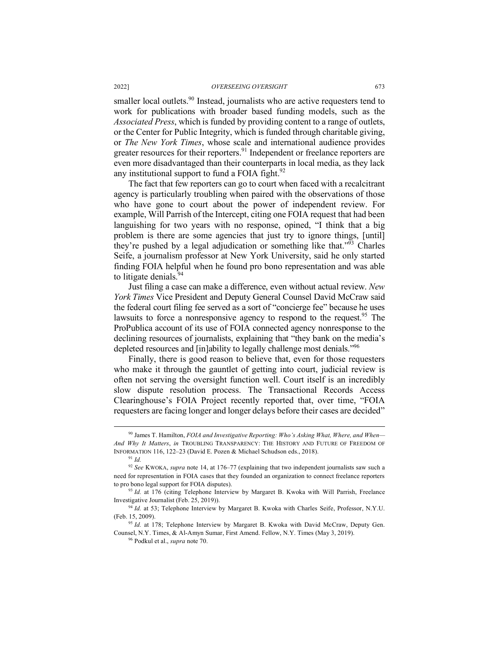smaller local outlets.<sup>90</sup> Instead, journalists who are active requesters tend to work for publications with broader based funding models, such as the *Associated Press*, which is funded by providing content to a range of outlets, or the Center for Public Integrity, which is funded through charitable giving, or *The New York Times*, whose scale and international audience provides greater resources for their reporters.<sup>91</sup> Independent or freelance reporters are even more disadvantaged than their counterparts in local media, as they lack any institutional support to fund a FOIA fight. $92$ 

The fact that few reporters can go to court when faced with a recalcitrant agency is particularly troubling when paired with the observations of those who have gone to court about the power of independent review. For example, Will Parrish of the Intercept, citing one FOIA request that had been languishing for two years with no response, opined, "I think that a big problem is there are some agencies that just try to ignore things, [until] they're pushed by a legal adjudication or something like that.<sup> $393$ </sup> Charles Seife, a journalism professor at New York University, said he only started finding FOIA helpful when he found pro bono representation and was able to litigate denials. $94$ 

Just filing a case can make a difference, even without actual review. *New York Times* Vice President and Deputy General Counsel David McCraw said the federal court filing fee served as a sort of "concierge fee" because he uses lawsuits to force a nonresponsive agency to respond to the request.<sup>95</sup> The ProPublica account of its use of FOIA connected agency nonresponse to the declining resources of journalists, explaining that "they bank on the media's depleted resources and [in]ability to legally challenge most denials."<sup>96</sup>

Finally, there is good reason to believe that, even for those requesters who make it through the gauntlet of getting into court, judicial review is often not serving the oversight function well. Court itself is an incredibly slow dispute resolution process. The Transactional Records Access Clearinghouse's FOIA Project recently reported that, over time, "FOIA requesters are facing longer and longer delays before their cases are decided"

 <sup>90</sup> James T. Hamilton, *FOIA and Investigative Reporting: Who's Asking What, Where, and When— And Why It Matters*, *in* TROUBLING TRANSPARENCY: THE HISTORY AND FUTURE OF FREEDOM OF INFORMATION 116, 122–23 (David E. Pozen & Michael Schudson eds., 2018).

<sup>91</sup> *Id.*

<sup>92</sup> *See* KWOKA, *supra* note 14, at 176–77 (explaining that two independent journalists saw such a need for representation in FOIA cases that they founded an organization to connect freelance reporters to pro bono legal support for FOIA disputes).<br><sup>93</sup> *Id.* at 176 (citing Telephone Interview by Margaret B. Kwoka with Will Parrish, Freelance

Investigative Journalist (Feb. 25, 2019)).

<sup>94</sup> *Id.* at 53; Telephone Interview by Margaret B. Kwoka with Charles Seife, Professor, N.Y.U. (Feb. 15, 2009).

<sup>95</sup> *Id.* at 178; Telephone Interview by Margaret B. Kwoka with David McCraw, Deputy Gen. Counsel, N.Y. Times, & Al-Amyn Sumar, First Amend. Fellow, N.Y. Times (May 3, 2019).

<sup>96</sup> Podkul et al., *supra* note 70.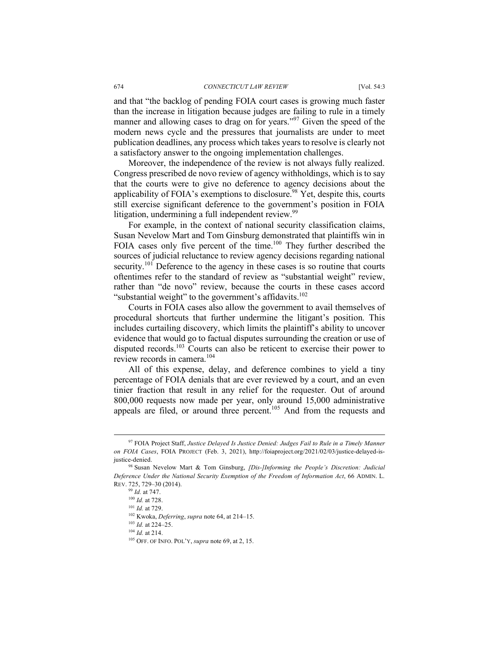and that "the backlog of pending FOIA court cases is growing much faster than the increase in litigation because judges are failing to rule in a timely manner and allowing cases to drag on for years."<sup>97</sup> Given the speed of the modern news cycle and the pressures that journalists are under to meet publication deadlines, any process which takes years to resolve is clearly not a satisfactory answer to the ongoing implementation challenges.

Moreover, the independence of the review is not always fully realized. Congress prescribed de novo review of agency withholdings, which is to say that the courts were to give no deference to agency decisions about the applicability of FOIA's exemptions to disclosure.<sup>98</sup> Yet, despite this, courts still exercise significant deference to the government's position in FOIA litigation, undermining a full independent review.<sup>99</sup>

For example, in the context of national security classification claims, Susan Nevelow Mart and Tom Ginsburg demonstrated that plaintiffs win in FOIA cases only five percent of the time.<sup>100</sup> They further described the sources of judicial reluctance to review agency decisions regarding national security.<sup>101</sup> Deference to the agency in these cases is so routine that courts oftentimes refer to the standard of review as "substantial weight" review, rather than "de novo" review, because the courts in these cases accord "substantial weight" to the government's affidavits.<sup>102</sup>

Courts in FOIA cases also allow the government to avail themselves of procedural shortcuts that further undermine the litigant's position. This includes curtailing discovery, which limits the plaintiff's ability to uncover evidence that would go to factual disputes surrounding the creation or use of disputed records.<sup>103</sup> Courts can also be reticent to exercise their power to review records in camera<sup>104</sup>

All of this expense, delay, and deference combines to yield a tiny percentage of FOIA denials that are ever reviewed by a court, and an even tinier fraction that result in any relief for the requester. Out of around 800,000 requests now made per year, only around 15,000 administrative appeals are filed, or around three percent.<sup>105</sup> And from the requests and

 <sup>97</sup> FOIA Project Staff, *Justice Delayed Is Justice Denied: Judges Fail to Rule in a Timely Manner on FOIA Cases*, FOIA PROJECT (Feb. 3, 2021), http://foiaproject.org/2021/02/03/justice-delayed-isjustice-denied. 98 Susan Nevelow Mart & Tom Ginsburg, *[Dis-]Informing the People's Discretion: Judicial* 

*Deference Under the National Security Exemption of the Freedom of Information Act*, 66 ADMIN. L. REV. 725, 729–30 (2014).

<sup>99</sup> *Id.* at 747.

<sup>100</sup> *Id.* at 728.

<sup>101</sup> *Id.* at 729. 102 Kwoka, *Deferring*, *supra* note 64, at 214–15. 103 *Id.* at 224–25.

<sup>104</sup> *Id.* at 214.

<sup>105</sup> OFF. OF INFO. POL'Y, *supra* note 69, at 2, 15.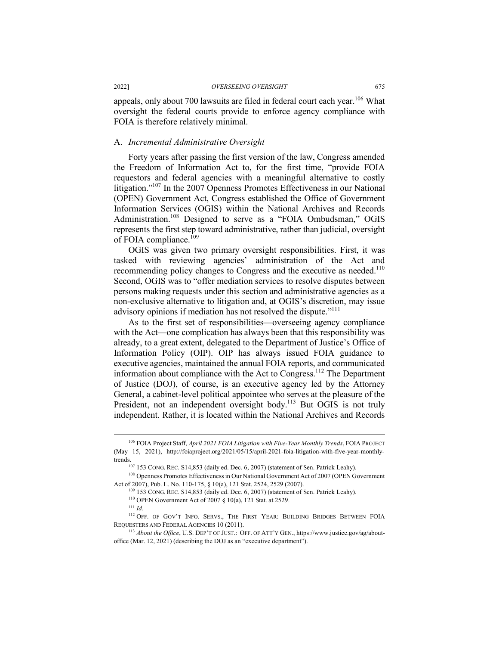appeals, only about 700 lawsuits are filed in federal court each year.<sup>106</sup> What oversight the federal courts provide to enforce agency compliance with FOIA is therefore relatively minimal.

#### A. *Incremental Administrative Oversight*

Forty years after passing the first version of the law, Congress amended the Freedom of Information Act to, for the first time, "provide FOIA requestors and federal agencies with a meaningful alternative to costly litigation."107 In the 2007 Openness Promotes Effectiveness in our National (OPEN) Government Act, Congress established the Office of Government Information Services (OGIS) within the National Archives and Records Administration.<sup>108</sup> Designed to serve as a "FOIA Ombudsman," OGIS represents the first step toward administrative, rather than judicial, oversight of FOIA compliance.<sup> $109$ </sup>

OGIS was given two primary oversight responsibilities. First, it was tasked with reviewing agencies' administration of the Act and recommending policy changes to Congress and the executive as needed.<sup>110</sup> Second, OGIS was to "offer mediation services to resolve disputes between persons making requests under this section and administrative agencies as a non-exclusive alternative to litigation and, at OGIS's discretion, may issue advisory opinions if mediation has not resolved the dispute."<sup>111</sup>

As to the first set of responsibilities—overseeing agency compliance with the Act—one complication has always been that this responsibility was already, to a great extent, delegated to the Department of Justice's Office of Information Policy (OIP). OIP has always issued FOIA guidance to executive agencies, maintained the annual FOIA reports, and communicated information about compliance with the Act to Congress.112 The Department of Justice (DOJ), of course, is an executive agency led by the Attorney General, a cabinet-level political appointee who serves at the pleasure of the President, not an independent oversight body.<sup>113</sup> But OGIS is not truly independent. Rather, it is located within the National Archives and Records

<sup>109</sup> 153 CONG. REC. S14,853 (daily ed. Dec. 6, 2007) (statement of Sen. Patrick Leahy).

 <sup>106</sup> FOIA Project Staff, *April 2021 FOIA Litigation with Five-Year Monthly Trends*, FOIA PROJECT (May 15, 2021), http://foiaproject.org/2021/05/15/april-2021-foia-litigation-with-five-year-monthlytrends.

<sup>&</sup>lt;sup>107</sup> 153 CONG. REC. S14,853 (daily ed. Dec. 6, 2007) (statement of Sen. Patrick Leahy).

<sup>108</sup> Openness Promotes Effectiveness in Our National Government Act of 2007 (OPEN Government Act of 2007), Pub. L. No. 110-175, § 10(a), 121 Stat. 2524, 2529 (2007).

<sup>110</sup> OPEN Government Act of 2007 § 10(a), 121 Stat. at 2529.

<sup>111</sup> *Id.*

<sup>112</sup> OFF. OF GOV'T INFO. SERVS., THE FIRST YEAR: BUILDING BRIDGES BETWEEN FOIA REQUESTERS AND FEDERAL AGENCIES 10 (2011).<br><sup>113</sup> *About the Office*, U.S. DEP'T OF JUST.: OFF. OF ATT'Y GEN., https://www.justice.gov/ag/about-

office (Mar. 12, 2021) (describing the DOJ as an "executive department").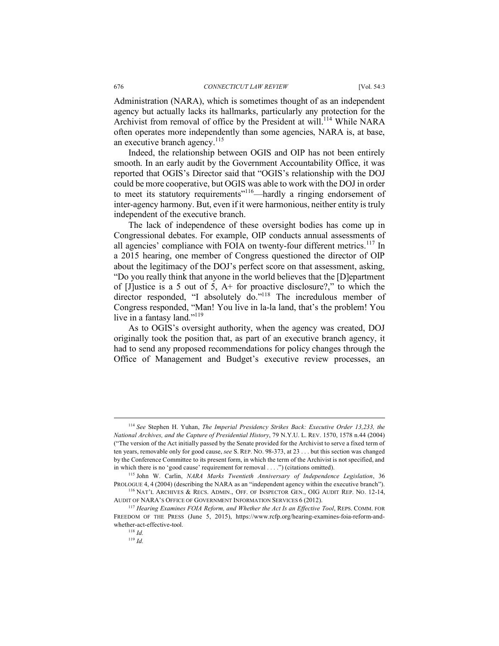Administration (NARA), which is sometimes thought of as an independent agency but actually lacks its hallmarks, particularly any protection for the Archivist from removal of office by the President at will.<sup>114</sup> While NARA often operates more independently than some agencies, NARA is, at base, an executive branch agency.<sup>115</sup>

Indeed, the relationship between OGIS and OIP has not been entirely smooth. In an early audit by the Government Accountability Office, it was reported that OGIS's Director said that "OGIS's relationship with the DOJ could be more cooperative, but OGIS was able to work with the DOJ in order to meet its statutory requirements"116—hardly a ringing endorsement of inter-agency harmony. But, even if it were harmonious, neither entity is truly independent of the executive branch.

The lack of independence of these oversight bodies has come up in Congressional debates. For example, OIP conducts annual assessments of all agencies' compliance with FOIA on twenty-four different metrics.<sup>117</sup> In a 2015 hearing, one member of Congress questioned the director of OIP about the legitimacy of the DOJ's perfect score on that assessment, asking, "Do you really think that anyone in the world believes that the [D]epartment of [J]ustice is a 5 out of 5, A+ for proactive disclosure?," to which the director responded, "I absolutely do."<sup>118</sup> The incredulous member of Congress responded, "Man! You live in la-la land, that's the problem! You live in a fantasy land."<sup>119</sup>

As to OGIS's oversight authority, when the agency was created, DOJ originally took the position that, as part of an executive branch agency, it had to send any proposed recommendations for policy changes through the Office of Management and Budget's executive review processes, an

 <sup>114</sup> *See* Stephen H. Yuhan, *The Imperial Presidency Strikes Back: Executive Order 13,233, the National Archives, and the Capture of Presidential History*, 79 N.Y.U. L. REV. 1570, 1578 n.44 (2004) ("The version of the Act initially passed by the Senate provided for the Archivist to serve a fixed term of ten years, removable only for good cause, *see* S. REP. NO. 98-373, at 23 . . . but this section was changed by the Conference Committee to its present form, in which the term of the Archivist is not specified, and in which there is no 'good cause' requirement for removal . . . .") (citations omitted).

<sup>115</sup> John W. Carlin, *NARA Marks Twentieth Anniversary of Independence Legislation*, 36 PROLOGUE 4, 4 (2004) (describing the NARA as an "independent agency within the executive branch"). <sup>116</sup> NAT'L ARCHIVES & RECS. ADMIN., OFF. OF INSPECTOR GEN., OIG AUDIT REP. NO. 12-14,

AUDIT OF NARA'S OFFICE OF GOVERNMENT INFORMATION SERVICES 6 (2012). 117 *Hearing Examines FOIA Reform, and Whether the Act Is an Effective Tool*, REPS. COMM. FOR

FREEDOM OF THE PRESS (June 5, 2015), https://www.rcfp.org/hearing-examines-foia-reform-andwhether-act-effective-tool. 118 *Id.*

<sup>119</sup> *Id.*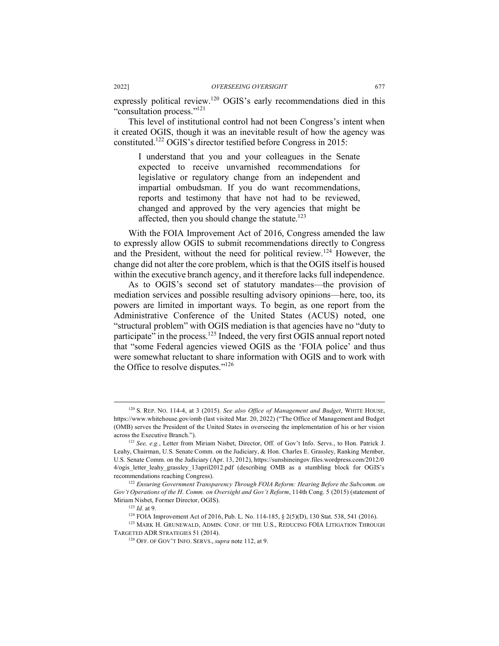expressly political review.120 OGIS's early recommendations died in this "consultation process."<sup>121</sup>

This level of institutional control had not been Congress's intent when it created OGIS, though it was an inevitable result of how the agency was constituted.122 OGIS's director testified before Congress in 2015:

I understand that you and your colleagues in the Senate expected to receive unvarnished recommendations for legislative or regulatory change from an independent and impartial ombudsman. If you do want recommendations, reports and testimony that have not had to be reviewed, changed and approved by the very agencies that might be affected, then you should change the statute.<sup>123</sup>

With the FOIA Improvement Act of 2016, Congress amended the law to expressly allow OGIS to submit recommendations directly to Congress and the President, without the need for political review.<sup>124</sup> However, the change did not alter the core problem, which is that the OGIS itself is housed within the executive branch agency, and it therefore lacks full independence.

As to OGIS's second set of statutory mandates—the provision of mediation services and possible resulting advisory opinions—here, too, its powers are limited in important ways. To begin, as one report from the Administrative Conference of the United States (ACUS) noted, one "structural problem" with OGIS mediation is that agencies have no "duty to participate<sup> $\dot{v}$ </sup> in the process.<sup>125</sup> Indeed, the very first OGIS annual report noted that "some Federal agencies viewed OGIS as the 'FOIA police' and thus were somewhat reluctant to share information with OGIS and to work with the Office to resolve disputes."126

 <sup>120</sup> S. REP. NO. 114-4, at 3 (2015). *See also Office of Management and Budget*, WHITE HOUSE, https://www.whitehouse.gov/omb (last visited Mar. 20, 2022) ("The Office of Management and Budget (OMB) serves the President of the United States in overseeing the implementation of his or her vision across the Executive Branch.").

<sup>121</sup> *See, e.g.*, Letter from Miriam Nisbet, Director, Off. of Gov't Info. Servs., to Hon. Patrick J. Leahy, Chairman, U.S. Senate Comm. on the Judiciary, & Hon. Charles E. Grassley, Ranking Member, U.S. Senate Comm. on the Judiciary (Apr. 13, 2012), https://sunshineingov.files.wordpress.com/2012/0 4/ogis\_letter\_leahy\_grassley\_13april2012.pdf (describing OMB as a stumbling block for OGIS's recommendations reaching Congress).

<sup>122</sup> *Ensuring Government Transparency Through FOIA Reform: Hearing Before the Subcomm. on Gov't Operations of the H. Comm. on Oversight and Gov't Reform*, 114th Cong. 5 (2015) (statement of Miriam Nisbet, Former Director, OGIS).

<sup>&</sup>lt;sup>123</sup> *Id.* at 9.<br><sup>124</sup> FOIA Improvement Act of 2016, Pub. L. No. 114-185, § 2(5)(D), 130 Stat. 538, 541 (2016).

<sup>&</sup>lt;sup>125</sup> MARK H. GRUNEWALD, ADMIN. CONF. OF THE U.S., REDUCING FOIA LITIGATION THROUGH TARGETED ADR STRATEGIES 51 (2014). 126 OFF. OF GOV'T INFO. SERVS., *supra* note 112, at 9.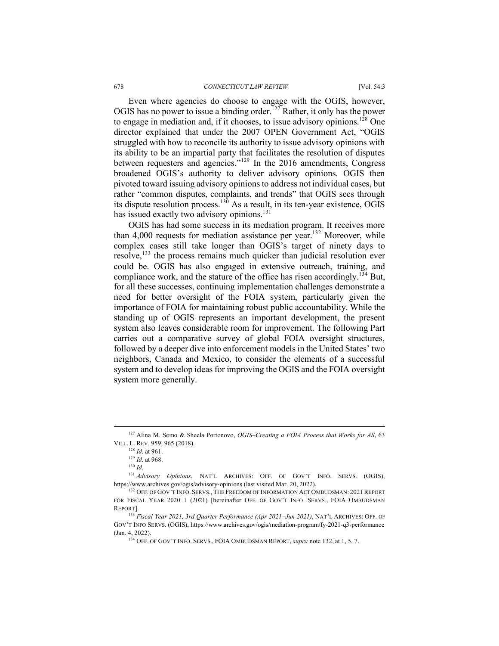Even where agencies do choose to engage with the OGIS, however, OGIS has no power to issue a binding order.<sup>127</sup> Rather, it only has the power to engage in mediation and, if it chooses, to issue advisory opinions.<sup>128</sup> One director explained that under the 2007 OPEN Government Act, "OGIS struggled with how to reconcile its authority to issue advisory opinions with its ability to be an impartial party that facilitates the resolution of disputes between requesters and agencies."<sup>129</sup> In the 2016 amendments, Congress broadened OGIS's authority to deliver advisory opinions. OGIS then pivoted toward issuing advisory opinions to address not individual cases, but rather "common disputes, complaints, and trends" that OGIS sees through its dispute resolution process.<sup>130</sup> As a result, in its ten-year existence, OGIS has issued exactly two advisory opinions.<sup>131</sup>

OGIS has had some success in its mediation program. It receives more than  $4,000$  requests for mediation assistance per year.<sup>132</sup> Moreover, while complex cases still take longer than OGIS's target of ninety days to resolve,<sup>133</sup> the process remains much quicker than judicial resolution ever could be. OGIS has also engaged in extensive outreach, training, and compliance work, and the stature of the office has risen accordingly.<sup>134</sup> But, for all these successes, continuing implementation challenges demonstrate a need for better oversight of the FOIA system, particularly given the importance of FOIA for maintaining robust public accountability. While the standing up of OGIS represents an important development, the present system also leaves considerable room for improvement. The following Part carries out a comparative survey of global FOIA oversight structures, followed by a deeper dive into enforcement models in the United States' two neighbors, Canada and Mexico, to consider the elements of a successful system and to develop ideas for improving the OGIS and the FOIA oversight system more generally.

 <sup>127</sup> Alina M. Semo & Sheela Portonovo, *OGIS–Creating a FOIA Process that Works for All*, 63 VILL. L. REV. 959, 965 (2018).

<sup>128</sup> *Id.* at 961.

<sup>129</sup> *Id.* at 968.

<sup>130</sup> *Id.*

<sup>131</sup> *Advisory Opinions*, NAT'L ARCHIVES: OFF. OF GOV'T INFO. SERVS. (OGIS), https://www.archives.gov/ogis/advisory-opinions (last visited Mar. 20, 2022).

<sup>&</sup>lt;sup>132</sup> OFF. OF GOV'T INFO. SERVS., THE FREEDOM OF INFORMATION ACT OMBUDSMAN: 2021 REPORT FOR FISCAL YEAR 2020 1 (2021) [hereinafter OFF. OF GOV'T INFO. SERVS., FOIA OMBUDSMAN

REPORT]. 133 *Fiscal Year 2021, 3rd Quarter Performance (Apr 2021*-*Jun 2021)*, NAT'L ARCHIVES: OFF. OF GOV'T INFO SERVS. (OGIS), https://www.archives.gov/ogis/mediation-program/fy-2021-q3-performance (Jan. 4, 2022).

<sup>134</sup> OFF. OF GOV'T INFO. SERVS., FOIA OMBUDSMAN REPORT, *supra* note 132, at 1, 5, 7.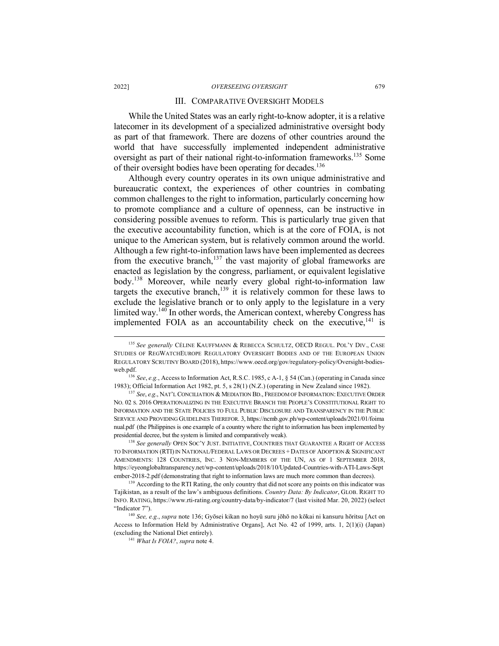#### 2022] *OVERSEEING OVERSIGHT* 679

#### III. COMPARATIVE OVERSIGHT MODELS

While the United States was an early right-to-know adopter, it is a relative latecomer in its development of a specialized administrative oversight body as part of that framework. There are dozens of other countries around the world that have successfully implemented independent administrative oversight as part of their national right-to-information frameworks.<sup>135</sup> Some of their oversight bodies have been operating for decades.<sup>136</sup>

Although every country operates in its own unique administrative and bureaucratic context, the experiences of other countries in combating common challenges to the right to information, particularly concerning how to promote compliance and a culture of openness, can be instructive in considering possible avenues to reform. This is particularly true given that the executive accountability function, which is at the core of FOIA, is not unique to the American system, but is relatively common around the world. Although a few right-to-information laws have been implemented as decrees from the executive branch, $137$  the vast majority of global frameworks are enacted as legislation by the congress, parliament, or equivalent legislative body.<sup>138</sup> Moreover, while nearly every global right-to-information law targets the executive branch, $139$  it is relatively common for these laws to exclude the legislative branch or to only apply to the legislature in a very limited way.<sup>140</sup> In other words, the American context, whereby Congress has implemented FOIA as an accountability check on the executive, $141$  is

<sup>&</sup>lt;sup>135</sup> See generally CÉLINE KAUFFMANN & REBECCA SCHULTZ, OECD REGUL. POL'Y DIV., CASE STUDIES OF REGWATCHEUROPE REGULATORY OVERSIGHT BODIES AND OF THE EUROPEAN UNION REGULATORY SCRUTINY BOARD (2018), https://www.oecd.org/gov/regulatory-policy/Oversight-bodiesweb.pdf.

<sup>136</sup> *See*, *e.g.*, Access to Information Act, R.S.C. 1985, c A-1, § 54 (Can.) (operating in Canada since 1983); Official Information Act 1982, pt. 5, s 28(1) (N.Z.) (operating in New Zealand since 1982).

<sup>137</sup> *See*, *e.g*., NAT'L CONCILIATION & MEDIATION BD., FREEDOM OF INFORMATION:EXECUTIVE ORDER NO. 02 S. 2016 OPERATIONALIZING IN THE EXECUTIVE BRANCH THE PEOPLE'S CONSTITUTIONAL RIGHT TO INFORMATION AND THE STATE POLICIES TO FULL PUBLIC DISCLOSURE AND TRANSPARENCY IN THE PUBLIC SERVICE AND PROVIDING GUIDELINES THEREFOR. 3, https://ncmb.gov.ph/wp-content/uploads/2021/01/foima nual.pdf (the Philippines is one example of a country where the right to information has been implemented by presidential decree, but the system is limited and comparatively weak).

<sup>&</sup>lt;sup>138</sup> See generally OPEN SOC'Y JUST. INITIATIVE, COUNTRIES THAT GUARANTEE A RIGHT OF ACCESS TO INFORMATION (RTI) IN NATIONAL/FEDERAL LAWS OR DECREES + DATES OF ADOPTION & SIGNIFICANT AMENDMENTS: 128 COUNTRIES, INC. 3 NON-MEMBERS OF THE UN, AS OF 1 SEPTEMBER 2018, https://eyeonglobaltransparency.net/wp-content/uploads/2018/10/Updated-Countries-with-ATI-Laws-Sept ember-2018-2.pdf (demonstrating that right to information laws are much more common than decrees).

<sup>&</sup>lt;sup>139</sup> According to the RTI Rating, the only country that did not score any points on this indicator was Tajikistan, as a result of the law's ambiguous definitions. *Country Data: By Indicator*, GLOB. RIGHT TO INFO. RATING, https://www.rti-rating.org/country-data/by-indicator/7 (last visited Mar. 20, 2022) (select "Indicator 7").

<sup>140</sup> *See, e.g.*, *supra* note 136; Gyōsei kikan no hoyū suru jōhō no kōkai ni kansuru hōritsu [Act on Access to Information Held by Administrative Organs], Act No. 42 of 1999, arts. 1, 2(1)(i) (Japan) (excluding the National Diet entirely).

<sup>141</sup> *What Is FOIA?*, *supra* note 4.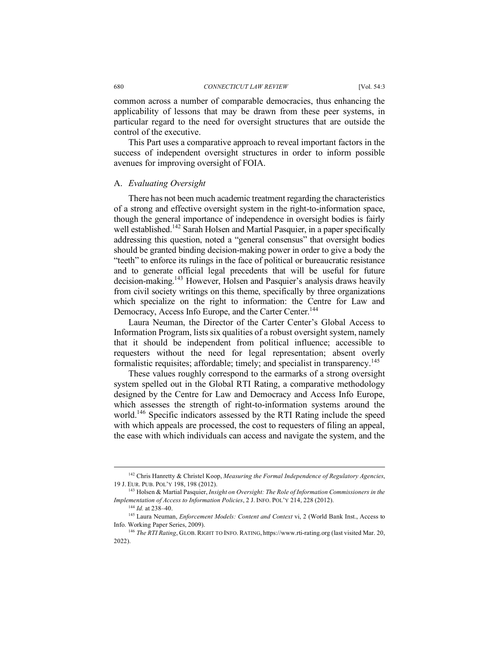common across a number of comparable democracies, thus enhancing the applicability of lessons that may be drawn from these peer systems, in particular regard to the need for oversight structures that are outside the control of the executive.

This Part uses a comparative approach to reveal important factors in the success of independent oversight structures in order to inform possible avenues for improving oversight of FOIA.

#### A. *Evaluating Oversight*

There has not been much academic treatment regarding the characteristics of a strong and effective oversight system in the right-to-information space, though the general importance of independence in oversight bodies is fairly well established.<sup>142</sup> Sarah Holsen and Martial Pasquier, in a paper specifically addressing this question, noted a "general consensus" that oversight bodies should be granted binding decision-making power in order to give a body the "teeth" to enforce its rulings in the face of political or bureaucratic resistance and to generate official legal precedents that will be useful for future decision-making.143 However, Holsen and Pasquier's analysis draws heavily from civil society writings on this theme, specifically by three organizations which specialize on the right to information: the Centre for Law and Democracy, Access Info Europe, and the Carter Center.<sup>144</sup>

Laura Neuman, the Director of the Carter Center's Global Access to Information Program, lists six qualities of a robust oversight system, namely that it should be independent from political influence; accessible to requesters without the need for legal representation; absent overly formalistic requisites; affordable; timely; and specialist in transparency.<sup>145</sup>

These values roughly correspond to the earmarks of a strong oversight system spelled out in the Global RTI Rating, a comparative methodology designed by the Centre for Law and Democracy and Access Info Europe, which assesses the strength of right-to-information systems around the world.<sup>146</sup> Specific indicators assessed by the RTI Rating include the speed with which appeals are processed, the cost to requesters of filing an appeal, the ease with which individuals can access and navigate the system, and the

 <sup>142</sup> Chris Hanretty & Christel Koop, *Measuring the Formal Independence of Regulatory Agencies*, 19 J. EUR. PUB. POL'Y 198, 198 (2012).

<sup>143</sup> Holsen & Martial Pasquier, *Insight on Oversight: The Role of Information Commissioners in the Implementation of Access to Information Policies*, 2 J. INFO. POL'Y 214, 228 (2012).

<sup>144</sup> *Id.* at 238–40.

<sup>145</sup> Laura Neuman, *Enforcement Models: Content and Context* vi, 2 (World Bank Inst., Access to Info. Working Paper Series, 2009).

<sup>146</sup> *The RTI Rating*, GLOB. RIGHT TO INFO. RATING, https://www.rti-rating.org (last visited Mar. 20, 2022).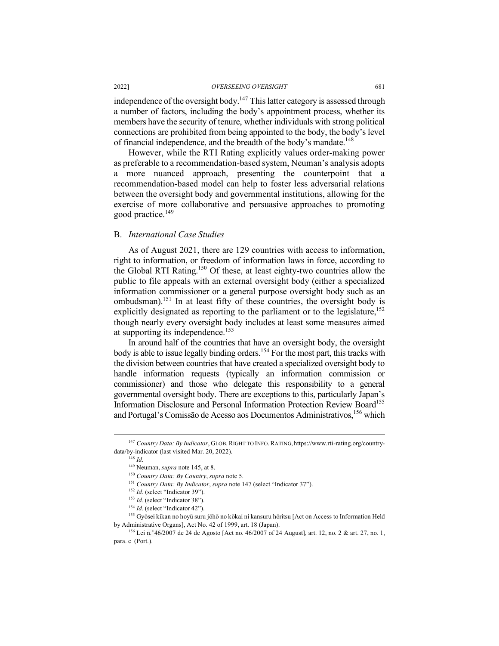independence of the oversight body.<sup>147</sup> This latter category is assessed through a number of factors, including the body's appointment process, whether its members have the security of tenure, whether individuals with strong political connections are prohibited from being appointed to the body, the body's level of financial independence, and the breadth of the body's mandate.148

However, while the RTI Rating explicitly values order-making power as preferable to a recommendation-based system, Neuman's analysis adopts a more nuanced approach, presenting the counterpoint that a recommendation-based model can help to foster less adversarial relations between the oversight body and governmental institutions, allowing for the exercise of more collaborative and persuasive approaches to promoting good practice.<sup>149</sup>

#### B. *International Case Studies*

As of August 2021, there are 129 countries with access to information, right to information, or freedom of information laws in force, according to the Global RTI Rating.150 Of these, at least eighty-two countries allow the public to file appeals with an external oversight body (either a specialized information commissioner or a general purpose oversight body such as an ombudsman).151 In at least fifty of these countries, the oversight body is explicitly designated as reporting to the parliament or to the legislature,  $152$ though nearly every oversight body includes at least some measures aimed at supporting its independence.<sup>153</sup>

In around half of the countries that have an oversight body, the oversight body is able to issue legally binding orders.<sup>154</sup> For the most part, this tracks with the division between countries that have created a specialized oversight body to handle information requests (typically an information commission or commissioner) and those who delegate this responsibility to a general governmental oversight body. There are exceptions to this, particularly Japan's Information Disclosure and Personal Information Protection Review Board<sup>155</sup> and Portugal's Comissão de Acesso aos Documentos Administrativos, <sup>156</sup> which

 <sup>147</sup> *Country Data: By Indicator*, GLOB. RIGHT TO INFO.RATING, https://www.rti-rating.org/countrydata/by-indicator (last visited Mar. 20, 2022).

<sup>148</sup> *Id.*

<sup>149</sup> Neuman, *supra* note 145, at 8.

<sup>150</sup> *Country Data: By Country*, *supra* note 5.

<sup>151</sup> *Country Data: By Indicator*, *supra* note 147 (select "Indicator 37").

<sup>&</sup>lt;sup>152</sup> *Id.* (select "Indicator 39").

<sup>&</sup>lt;sup>153</sup> *Id.* (select "Indicator 38").

<sup>154</sup> *Id.* (select "Indicator 42").

<sup>155</sup> Gyōsei kikan no hoyū suru jōhō no kōkai ni kansuru hōritsu [Act on Access to Information Held by Administrative Organs], Act No. 42 of 1999, art. 18 (Japan).

<sup>&</sup>lt;sup>156</sup> Lei n.  $46/2007$  de 24 de Agosto [Act no.  $46/2007$  of 24 August], art. 12, no. 2 & art. 27, no. 1, para. c (Port.).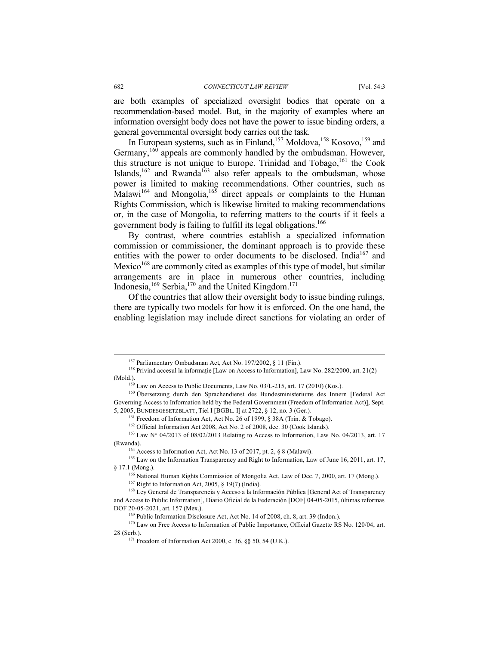are both examples of specialized oversight bodies that operate on a recommendation-based model. But, in the majority of examples where an information oversight body does not have the power to issue binding orders, a general governmental oversight body carries out the task.

In European systems, such as in Finland,<sup>157</sup> Moldova,<sup>158</sup> Kosovo,<sup>159</sup> and Germany,<sup>160</sup> appeals are commonly handled by the ombudsman. However, this structure is not unique to Europe. Trinidad and Tobago, $161$  the Cook Islands,<sup>162</sup> and Rwanda<sup>163</sup> also refer appeals to the ombudsman, whose power is limited to making recommendations. Other countries, such as Malawi<sup>164</sup> and Mongolia,<sup>165</sup> direct appeals or complaints to the Human Rights Commission, which is likewise limited to making recommendations or, in the case of Mongolia, to referring matters to the courts if it feels a government body is failing to fulfill its legal obligations.166

By contrast, where countries establish a specialized information commission or commissioner, the dominant approach is to provide these entities with the power to order documents to be disclosed. India<sup>167</sup> and Mexico<sup>168</sup> are commonly cited as examples of this type of model, but similar arrangements are in place in numerous other countries, including Indonesia,  $169$  Serbia,  $170$  and the United Kingdom.<sup>171</sup>

Of the countries that allow their oversight body to issue binding rulings, there are typically two models for how it is enforced. On the one hand, the enabling legislation may include direct sanctions for violating an order of

 <sup>157</sup> Parliamentary Ombudsman Act, Act No. 197/2002, § 11 (Fin.).

<sup>&</sup>lt;sup>158</sup> Privind accesul la informație [Law on Access to Information], Law No. 282/2000, art. 21(2) (Mold.).

<sup>159</sup> Law on Access to Public Documents, Law No. 03/L-215, art. 17 (2010) (Kos.).

<sup>160</sup> Übersetzung durch den Sprachendienst des Bundesministeriums des Innern [Federal Act Governing Access to Information held by the Federal Government (Freedom of Information Act)], Sept. 5, 2005, BUNDESGESETZBLATT, Tiel I [BGBL. I] at 2722, § 12, no. 3 (Ger.). 161 Freedom of Information Act, Act No. 26 of 1999, § 38A (Trin. & Tobago).

<sup>162</sup> Official Information Act 2008, Act No. 2 of 2008, dec. 30 (Cook Islands).

<sup>&</sup>lt;sup>163</sup> Law N° 04/2013 of 08/02/2013 Relating to Access to Information, Law No. 04/2013, art. 17 (Rwanda).

<sup>164</sup> Access to Information Act, Act No. 13 of 2017, pt. 2, § 8 (Malawi).

<sup>&</sup>lt;sup>165</sup> Law on the Information Transparency and Right to Information, Law of June 16, 2011, art. 17, § 17.1 (Mong.).

<sup>166</sup> National Human Rights Commission of Mongolia Act, Law of Dec. 7, 2000, art. 17 (Mong.).

 $167$  Right to Information Act, 2005, § 19(7) (India).

<sup>&</sup>lt;sup>168</sup> Ley General de Transparencia y Acceso a la Información Pública [General Act of Transparency and Access to Public Information], Diario Oficial de la Federación [DOF] 04-05-2015, últimas reformas DOF 20-05-2021, art. 157 (Mex.).

<sup>169</sup> Public Information Disclosure Act, Act No. 14 of 2008, ch. 8, art. 39 (Indon.).

<sup>&</sup>lt;sup>170</sup> Law on Free Access to Information of Public Importance, Official Gazette RS No. 120/04, art. 28 (Serb.).

<sup>&</sup>lt;sup>171</sup> Freedom of Information Act 2000, c. 36,  $\S$ § 50, 54 (U.K.).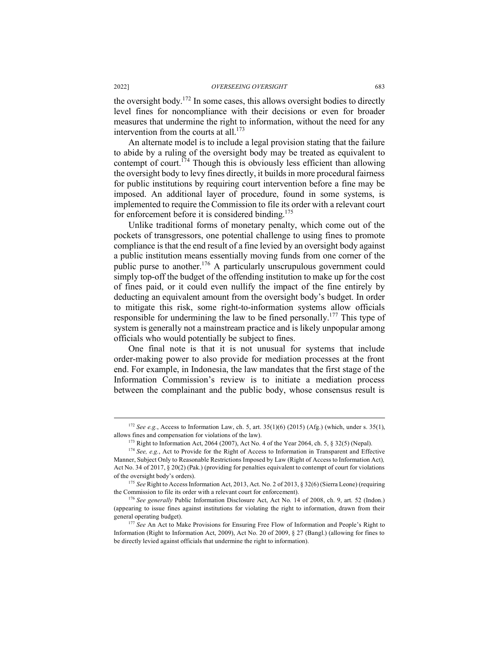the oversight body.172 In some cases, this allows oversight bodies to directly level fines for noncompliance with their decisions or even for broader measures that undermine the right to information, without the need for any intervention from the courts at all. $173$ 

An alternate model is to include a legal provision stating that the failure to abide by a ruling of the oversight body may be treated as equivalent to contempt of court.<sup>174</sup> Though this is obviously less efficient than allowing the oversight body to levy fines directly, it builds in more procedural fairness for public institutions by requiring court intervention before a fine may be imposed. An additional layer of procedure, found in some systems, is implemented to require the Commission to file its order with a relevant court for enforcement before it is considered binding.<sup>175</sup>

Unlike traditional forms of monetary penalty, which come out of the pockets of transgressors, one potential challenge to using fines to promote compliance is that the end result of a fine levied by an oversight body against a public institution means essentially moving funds from one corner of the public purse to another. <sup>176</sup> A particularly unscrupulous government could simply top-off the budget of the offending institution to make up for the cost of fines paid, or it could even nullify the impact of the fine entirely by deducting an equivalent amount from the oversight body's budget. In order to mitigate this risk, some right-to-information systems allow officials responsible for undermining the law to be fined personally.<sup>177</sup> This type of system is generally not a mainstream practice and is likely unpopular among officials who would potentially be subject to fines.

One final note is that it is not unusual for systems that include order-making power to also provide for mediation processes at the front end. For example, in Indonesia, the law mandates that the first stage of the Information Commission's review is to initiate a mediation process between the complainant and the public body, whose consensus result is

<sup>&</sup>lt;sup>172</sup> *See e.g.*, Access to Information Law, ch. 5, art.  $35(1)(6)$  (2015) (Afg.) (which, under s.  $35(1)$ , allows fines and compensation for violations of the law).

<sup>173</sup> Right to Information Act, 2064 (2007), Act No. 4 of the Year 2064, ch. 5, § 32(5) (Nepal).

<sup>&</sup>lt;sup>174</sup> See, e.g., Act to Provide for the Right of Access to Information in Transparent and Effective Manner, Subject Only to Reasonable Restrictions Imposed by Law (Right of Access to Information Act)*,*  Act No. 34 of 2017, § 20(2) (Pak.) (providing for penalties equivalent to contempt of court for violations of the oversight body's orders).

<sup>175</sup> *See* Right to Access Information Act, 2013, Act. No. 2 of 2013, § 32(6) (Sierra Leone) (requiring the Commission to file its order with a relevant court for enforcement).

<sup>176</sup> *See generally* Public Information Disclosure Act, Act No. 14 of 2008, ch. 9, art. 52 (Indon.) (appearing to issue fines against institutions for violating the right to information, drawn from their general operating budget).

<sup>177</sup> *See* An Act to Make Provisions for Ensuring Free Flow of Information and People's Right to Information (Right to Information Act, 2009), Act No. 20 of 2009, § 27 (Bangl.) (allowing for fines to be directly levied against officials that undermine the right to information).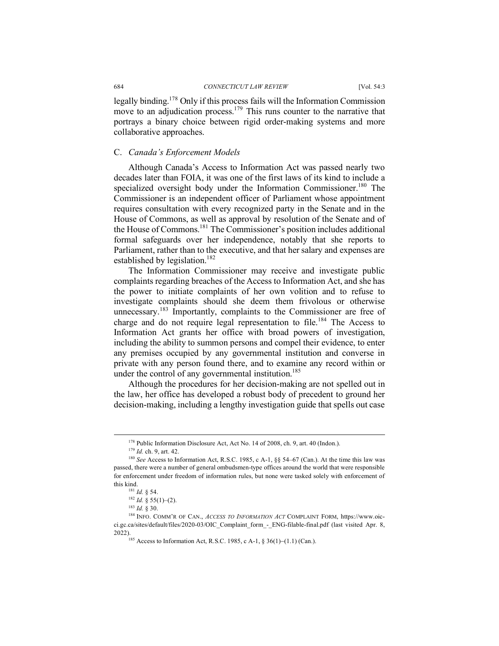legally binding.178 Only if this process fails will the Information Commission move to an adjudication process.<sup>179</sup> This runs counter to the narrative that portrays a binary choice between rigid order-making systems and more collaborative approaches.

### C. *Canada's Enforcement Models*

Although Canada's Access to Information Act was passed nearly two decades later than FOIA, it was one of the first laws of its kind to include a specialized oversight body under the Information Commissioner.<sup>180</sup> The Commissioner is an independent officer of Parliament whose appointment requires consultation with every recognized party in the Senate and in the House of Commons, as well as approval by resolution of the Senate and of the House of Commons. <sup>181</sup> The Commissioner's position includes additional formal safeguards over her independence, notably that she reports to Parliament, rather than to the executive, and that her salary and expenses are established by legislation.<sup>182</sup>

The Information Commissioner may receive and investigate public complaints regarding breaches of the Access to Information Act, and she has the power to initiate complaints of her own volition and to refuse to investigate complaints should she deem them frivolous or otherwise unnecessary.<sup>183</sup> Importantly, complaints to the Commissioner are free of charge and do not require legal representation to file.<sup>184</sup> The Access to Information Act grants her office with broad powers of investigation, including the ability to summon persons and compel their evidence, to enter any premises occupied by any governmental institution and converse in private with any person found there, and to examine any record within or under the control of any governmental institution.<sup>185</sup>

Although the procedures for her decision-making are not spelled out in the law, her office has developed a robust body of precedent to ground her decision-making, including a lengthy investigation guide that spells out case

 <sup>178</sup> Public Information Disclosure Act, Act No. 14 of 2008, ch. 9, art. 40 (Indon.).

<sup>&</sup>lt;sup>179</sup> *Id.* ch. 9, art. 42.<br><sup>180</sup> *See* Access to Information Act, R.S.C. 1985, c A-1, §§ 54–67 (Can.). At the time this law was passed, there were a number of general ombudsmen-type offices around the world that were responsible for enforcement under freedom of information rules, but none were tasked solely with enforcement of this kind.

<sup>181</sup> *Id.* § 54.

 $182$  *Id.* § 55(1)–(2).

<sup>183</sup> *Id.* § 30.

<sup>184</sup> INFO. COMM'R OF CAN., *ACCESS TO INFORMATION ACT* COMPLAINT FORM, https://www.oicci.gc.ca/sites/default/files/2020-03/OIC\_Complaint\_form\_-\_ENG-filable-final.pdf (last visited Apr. 8, 2022).<br><sup>185</sup> Access to Information Act, R.S.C. 1985, c A-1, § 36(1)–(1.1) (Can.).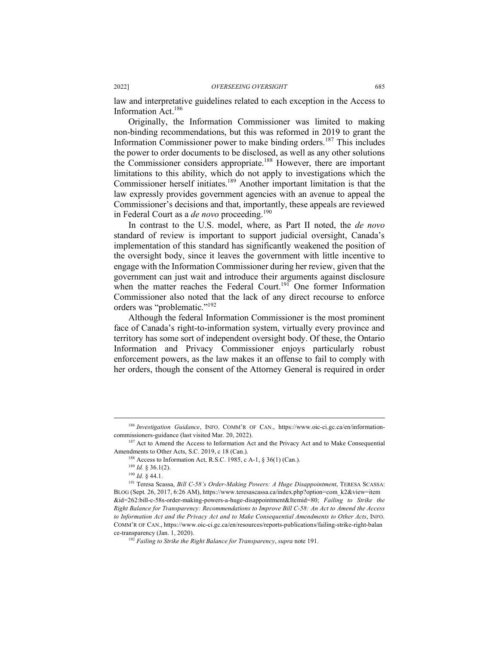law and interpretative guidelines related to each exception in the Access to Information Act. 186

Originally, the Information Commissioner was limited to making non-binding recommendations, but this was reformed in 2019 to grant the Information Commissioner power to make binding orders.<sup>187</sup> This includes the power to order documents to be disclosed, as well as any other solutions the Commissioner considers appropriate.<sup>188</sup> However, there are important limitations to this ability, which do not apply to investigations which the Commissioner herself initiates.<sup>189</sup> Another important limitation is that the law expressly provides government agencies with an avenue to appeal the Commissioner's decisions and that, importantly, these appeals are reviewed in Federal Court as a *de novo* proceeding.<sup>190</sup>

In contrast to the U.S. model, where, as Part II noted, the *de novo* standard of review is important to support judicial oversight, Canada's implementation of this standard has significantly weakened the position of the oversight body, since it leaves the government with little incentive to engage with the Information Commissioner during her review, given that the government can just wait and introduce their arguments against disclosure when the matter reaches the Federal Court.<sup>191</sup> One former Information Commissioner also noted that the lack of any direct recourse to enforce orders was "problematic."192

Although the federal Information Commissioner is the most prominent face of Canada's right-to-information system, virtually every province and territory has some sort of independent oversight body. Of these, the Ontario Information and Privacy Commissioner enjoys particularly robust enforcement powers, as the law makes it an offense to fail to comply with her orders, though the consent of the Attorney General is required in order

 <sup>186</sup> *Investigation Guidance*, INFO. COMM'R OF CAN., https://www.oic-ci.gc.ca/en/informationcommissioners-guidance (last visited Mar. 20, 2022).<br><sup>187</sup> Act to Amend the Access to Information Act and the Privacy Act and to Make Consequential

Amendments to Other Acts, S.C. 2019, c 18 (Can.).

<sup>&</sup>lt;sup>188</sup> Access to Information Act, R.S.C. 1985, c A-1,  $§$  36(1) (Can.).

<sup>189</sup> *Id.* § 36.1(2).

<sup>190</sup> *Id.* § 44.1.

<sup>191</sup> Teresa Scassa, *Bill C-58's Order-Making Powers: A Huge Disappointment*, TERESA SCASSA: BLOG (Sept. 26, 2017, 6:26 AM), https://www.teresascassa.ca/index.php?option=com\_k2&view=item &id=262:bill-c-58s-order-making-powers-a-huge-disappointment&Itemid=80; *Failing to Strike the Right Balance for Transparency: Recommendations to Improve Bill C-58: An Act to Amend the Access to Information Act and the Privacy Act and to Make Consequential Amendments to Other Acts*, INFO. COMM'R OF CAN., https://www.oic-ci.gc.ca/en/resources/reports-publications/failing-strike-right-balan ce-transparency (Jan. 1, 2020). 192 *Failing to Strike the Right Balance for Transparency*, *supra* note 191.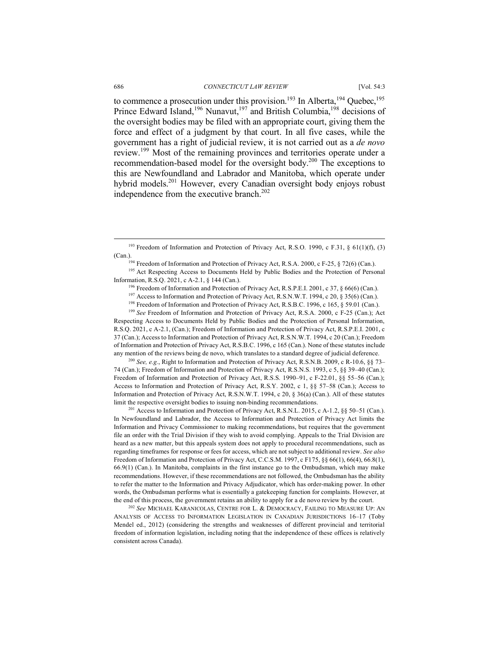to commence a prosecution under this provision.<sup>193</sup> In Alberta,<sup>194</sup> Quebec,<sup>195</sup> Prince Edward Island,<sup>196</sup> Nunavut,<sup>197</sup> and British Columbia,<sup>198</sup> decisions of the oversight bodies may be filed with an appropriate court, giving them the force and effect of a judgment by that court. In all five cases, while the government has a right of judicial review, it is not carried out as a *de novo* review.<sup>199</sup> Most of the remaining provinces and territories operate under a recommendation-based model for the oversight body.200 The exceptions to this are Newfoundland and Labrador and Manitoba, which operate under hybrid models.<sup>201</sup> However, every Canadian oversight body enjoys robust independence from the executive branch.<sup>202</sup>

<sup>198</sup> Freedom of Information and Protection of Privacy Act, R.S.B.C. 1996, c 165, § 59.01 (Can.).

<sup>199</sup> See Freedom of Information and Protection of Privacy Act, R.S.A. 2000, c F-25 (Can.); Act Respecting Access to Documents Held by Public Bodies and the Protection of Personal Information, R.S.Q. 2021, c A-2.1, (Can.); Freedom of Information and Protection of Privacy Act, R.S.P.E.I. 2001, c 37 (Can.); Access to Information and Protection of Privacy Act, R.S.N.W.T. 1994, c 20 (Can.); Freedom of Information and Protection of Privacy Act, R.S.B.C. 1996, c 165 (Can.). None of these statutes include any mention of the reviews being de novo, which translates to a standard degree of judicial deference.

<sup>200</sup> *See, e.g.*, Right to Information and Protection of Privacy Act, R.S.N.B. 2009, c R-10.6, §§ 73– 74 (Can.); Freedom of Information and Protection of Privacy Act, R.S.N.S. 1993, c 5, §§ 39–40 (Can.); Freedom of Information and Protection of Privacy Act, R.S.S. 1990-91, c F-22.01, §§ 55-56 (Can.); Access to Information and Protection of Privacy Act, R.S.Y. 2002, c 1, §§ 57–58 (Can.); Access to Information and Protection of Privacy Act, R.S.N.W.T. 1994, c 20, § 36(a) (Can.). All of these statutes limit the respective oversight bodies to issuing non-binding recommendations.

<sup>201</sup> Access to Information and Protection of Privacy Act, R.S.N.L. 2015, c A-1.2, §§ 50–51 (Can.). In Newfoundland and Labrador, the Access to Information and Protection of Privacy Act limits the Information and Privacy Commissioner to making recommendations, but requires that the government file an order with the Trial Division if they wish to avoid complying. Appeals to the Trial Division are heard as a new matter, but this appeals system does not apply to procedural recommendations, such as regarding timeframes for response or fees for access, which are not subject to additional review. *See also* Freedom of Information and Protection of Privacy Act, C.C.S.M. 1997, c F175, §§ 66(1), 66(4), 66.8(1), 66.9(1) (Can.). In Manitoba, complaints in the first instance go to the Ombudsman, which may make recommendations. However, if these recommendations are not followed, the Ombudsman has the ability to refer the matter to the Information and Privacy Adjudicator, which has order-making power. In other words, the Ombudsman performs what is essentially a gatekeeping function for complaints. However, at the end of this process, the government retains an ability to apply for a de novo review by the court. 202 *See* MICHAEL KARANICOLAS, CENTRE FOR L. & DEMOCRACY, FAILING TO MEASURE UP: AN

ANALYSIS OF ACCESS TO INFORMATION LEGISLATION IN CANADIAN JURISDICTIONS 16–17 (Toby Mendel ed., 2012) (considering the strengths and weaknesses of different provincial and territorial freedom of information legislation, including noting that the independence of these offices is relatively consistent across Canada).

<sup>&</sup>lt;sup>193</sup> Freedom of Information and Protection of Privacy Act, R.S.O. 1990, c F.31,  $\S$  61(1)(f), (3) (Can.).<br><sup>194</sup> Freedom of Information and Protection of Privacy Act, R.S.A. 2000, c F-25, § 72(6) (Can.).

<sup>&</sup>lt;sup>195</sup> Act Respecting Access to Documents Held by Public Bodies and the Protection of Personal Information, R.S.Q. 2021, c A-2.1, § 144 (Can.).

<sup>&</sup>lt;sup>196</sup> Freedom of Information and Protection of Privacy Act, R.S.P.E.I. 2001, c 37, § 66(6) (Can.).

<sup>&</sup>lt;sup>197</sup> Access to Information and Protection of Privacy Act, R.S.N.W.T. 1994, c 20, § 35(6) (Can.).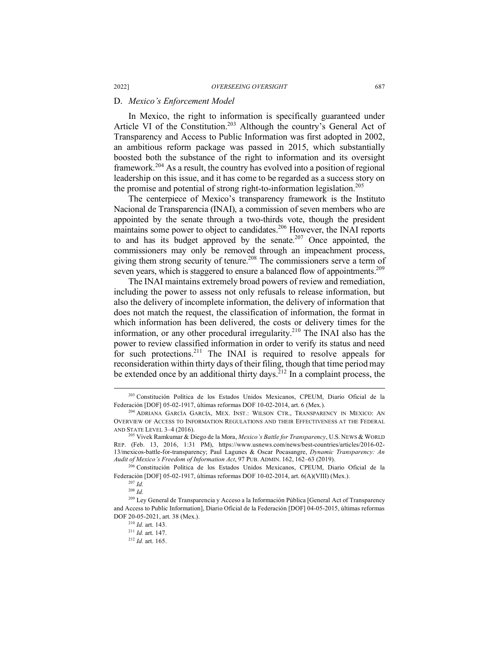#### D. *Mexico's Enforcement Model*

In Mexico, the right to information is specifically guaranteed under Article VI of the Constitution.<sup>203</sup> Although the country's General Act of Transparency and Access to Public Information was first adopted in 2002, an ambitious reform package was passed in 2015, which substantially boosted both the substance of the right to information and its oversight framework.<sup>204</sup> As a result, the country has evolved into a position of regional leadership on this issue, and it has come to be regarded as a success story on the promise and potential of strong right-to-information legislation.<sup>205</sup>

The centerpiece of Mexico's transparency framework is the Instituto Nacional de Transparencia (INAI), a commission of seven members who are appointed by the senate through a two-thirds vote, though the president maintains some power to object to candidates.<sup>206</sup> However, the INAI reports to and has its budget approved by the senate.<sup>207</sup> Once appointed, the commissioners may only be removed through an impeachment process, giving them strong security of tenure.<sup>208</sup> The commissioners serve a term of seven years, which is staggered to ensure a balanced flow of appointments.<sup>209</sup>

The INAI maintains extremely broad powers of review and remediation, including the power to assess not only refusals to release information, but also the delivery of incomplete information, the delivery of information that does not match the request, the classification of information, the format in which information has been delivered, the costs or delivery times for the information, or any other procedural irregularity.<sup>210</sup> The INAI also has the power to review classified information in order to verify its status and need for such protections.<sup>211</sup> The INAI is required to resolve appeals for reconsideration within thirty days of their filing, though that time period may be extended once by an additional thirty days.<sup>212</sup> In a complaint process, the

 <sup>203</sup> Constitución Política de los Estados Unidos Mexicanos, CPEUM, Diario Oficial de la Federación [DOF] 05-02-1917, últimas reformas DOF 10-02-2014, art. 6 (Mex.).

<sup>204</sup> ADRIANA GARCÍA GARCÍA, MEX. INST.: WILSON CTR., TRANSPARENCY IN MEXICO: AN OVERVIEW OF ACCESS TO INFORMATION REGULATIONS AND THEIR EFFECTIVENESS AT THE FEDERAL AND STATE LEVEL 3–4 (2016).

<sup>205</sup> Vivek Ramkumar & Diego de la Mora, *Mexico's Battle for Transparency*, U.S. NEWS & WORLD REP. (Feb. 13, 2016, 1:31 PM), https://www.usnews.com/news/best-countries/articles/2016-02- 13/mexicos-battle-for-transparency; Paul Lagunes & Oscar Pocasangre, *Dynamic Transparency: An Audit of Mexico's Freedom of Information Act*, 97 PUB. ADMIN. 162, 162–63 (2019).

<sup>206</sup> Constitución Política de los Estados Unidos Mexicanos, CPEUM, Diario Oficial de la Federación [DOF] 05-02-1917, últimas reformas DOF 10-02-2014, art. 6(A)(VIII) (Mex.).

<sup>207</sup> *Id.*

<sup>208</sup> *Id.*

<sup>209</sup> Ley General de Transparencia y Acceso a la Información Pública [General Act of Transparency and Access to Public Information], Diario Oficial de la Federación [DOF] 04-05-2015, últimas reformas DOF 20-05-2021, art. 38 (Mex.).

<sup>210</sup> *Id.* art. 143.

<sup>211</sup> *Id.* art. 147.

<sup>212</sup> *Id.* art. 165.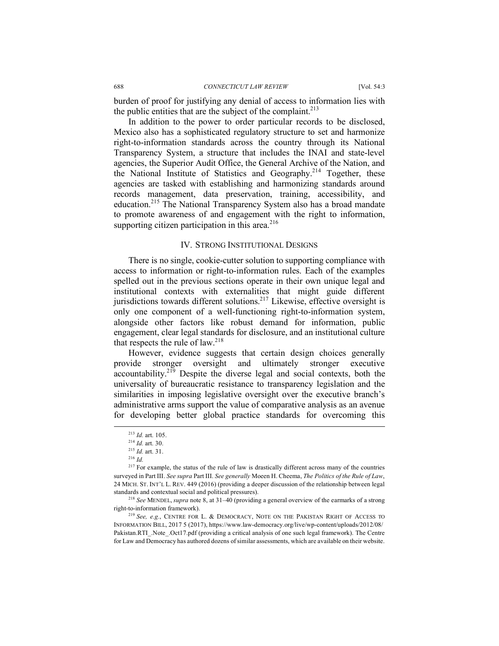burden of proof for justifying any denial of access to information lies with the public entities that are the subject of the complaint. $2^{13}$ 

In addition to the power to order particular records to be disclosed, Mexico also has a sophisticated regulatory structure to set and harmonize right-to-information standards across the country through its National Transparency System, a structure that includes the INAI and state-level agencies, the Superior Audit Office, the General Archive of the Nation, and the National Institute of Statistics and Geography.214 Together, these agencies are tasked with establishing and harmonizing standards around records management, data preservation, training, accessibility, and education.<sup>215</sup> The National Transparency System also has a broad mandate to promote awareness of and engagement with the right to information, supporting citizen participation in this area. $216$ 

#### IV. STRONG INSTITUTIONAL DESIGNS

There is no single, cookie-cutter solution to supporting compliance with access to information or right-to-information rules. Each of the examples spelled out in the previous sections operate in their own unique legal and institutional contexts with externalities that might guide different jurisdictions towards different solutions.<sup>217</sup> Likewise, effective oversight is only one component of a well-functioning right-to-information system, alongside other factors like robust demand for information, public engagement, clear legal standards for disclosure, and an institutional culture that respects the rule of law. $218$ 

However, evidence suggests that certain design choices generally provide stronger oversight and ultimately stronger executive accountability.219 Despite the diverse legal and social contexts, both the universality of bureaucratic resistance to transparency legislation and the similarities in imposing legislative oversight over the executive branch's administrative arms support the value of comparative analysis as an avenue for developing better global practice standards for overcoming this

right-to-information framework). 219 *See, e.g.*, CENTRE FOR L. & DEMOCRACY, NOTE ON THE PAKISTAN RIGHT OF ACCESS TO

INFORMATION BILL, 2017 5 (2017), https://www.law-democracy.org/live/wp-content/uploads/2012/08/ Pakistan.RTI\_.Note\_.Oct17.pdf (providing a critical analysis of one such legal framework). The Centre for Law and Democracy has authored dozens of similar assessments, which are available on their website.

 <sup>213</sup> *Id.* art. 105.

<sup>214</sup> *Id.* art. 30.

<sup>215</sup> *Id.* art. 31.

<sup>216</sup> *Id.*

<sup>&</sup>lt;sup>217</sup> For example, the status of the rule of law is drastically different across many of the countries surveyed in Part III. *See supra* Part III. *See generally* Moeen H. Cheema, *The Politics of the Rule of Law*, 24 MICH. ST. INT'L L. REV. 449 (2016) (providing a deeper discussion of the relationship between legal standards and contextual social and political pressures). 218 *See* MENDEL, *supra* note 8, at 31–40 (providing a general overview of the earmarks of a strong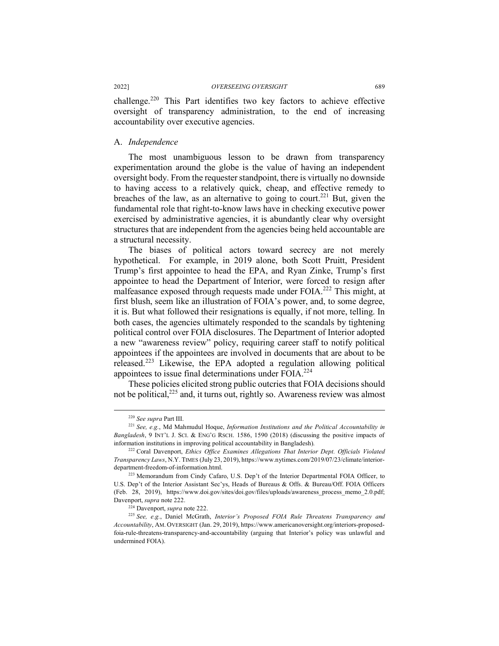challenge.<sup>220</sup> This Part identifies two key factors to achieve effective oversight of transparency administration, to the end of increasing accountability over executive agencies.

#### A. *Independence*

The most unambiguous lesson to be drawn from transparency experimentation around the globe is the value of having an independent oversight body. From the requester standpoint, there is virtually no downside to having access to a relatively quick, cheap, and effective remedy to breaches of the law, as an alternative to going to court.<sup>221</sup> But, given the fundamental role that right-to-know laws have in checking executive power exercised by administrative agencies, it is abundantly clear why oversight structures that are independent from the agencies being held accountable are a structural necessity.

The biases of political actors toward secrecy are not merely hypothetical. For example, in 2019 alone, both Scott Pruitt, President Trump's first appointee to head the EPA, and Ryan Zinke, Trump's first appointee to head the Department of Interior, were forced to resign after malfeasance exposed through requests made under FOIA.<sup>222</sup> This might, at first blush, seem like an illustration of FOIA's power, and, to some degree, it is. But what followed their resignations is equally, if not more, telling. In both cases, the agencies ultimately responded to the scandals by tightening political control over FOIA disclosures. The Department of Interior adopted a new "awareness review" policy, requiring career staff to notify political appointees if the appointees are involved in documents that are about to be released.<sup>223</sup> Likewise, the EPA adopted a regulation allowing political appointees to issue final determinations under FOIA.224

These policies elicited strong public outcries that FOIA decisions should not be political, $^{225}$  and, it turns out, rightly so. Awareness review was almost

 <sup>220</sup> *See supra* Part III.

<sup>221</sup> *See, e.g.*, Md Mahmudul Hoque, *Information Institutions and the Political Accountability in Bangladesh*, 9 INT'L J. SCI. & ENG'G RSCH. 1586, 1590 (2018) (discussing the positive impacts of information institutions in improving political accountability in Bangladesh).

<sup>222</sup> Coral Davenport, *Ethics Office Examines Allegations That Interior Dept. Officials Violated Transparency Laws*, N.Y. TIMES (July 23, 2019), https://www.nytimes.com/2019/07/23/climate/interiordepartment-freedom-of-information.html.

<sup>223</sup> Memorandum from Cindy Cafaro, U.S. Dep't of the Interior Departmental FOIA Officer, to U.S. Dep't of the Interior Assistant Sec'ys, Heads of Bureaus & Offs. & Bureau/Off. FOIA Officers (Feb. 28, 2019), https://www.doi.gov/sites/doi.gov/files/uploads/awareness\_process\_memo\_2.0.pdf; Davenport, *supra* note 222.

<sup>224</sup> Davenport, *supra* note 222.

<sup>225</sup> *See, e.g.*, Daniel McGrath, *Interior's Proposed FOIA Rule Threatens Transparency and Accountability*, AM. OVERSIGHT (Jan. 29, 2019), https://www.americanoversight.org/interiors-proposedfoia-rule-threatens-transparency-and-accountability (arguing that Interior's policy was unlawful and undermined FOIA).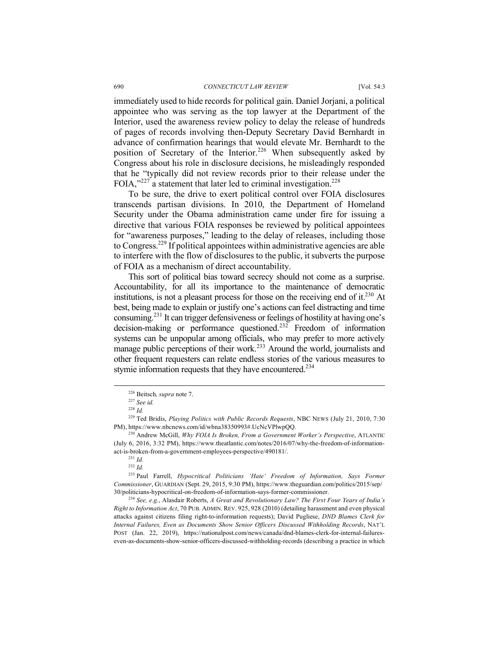#### 690 *CONNECTICUT LAW REVIEW* [Vol. 54:3

immediately used to hide records for political gain. Daniel Jorjani, a political appointee who was serving as the top lawyer at the Department of the Interior, used the awareness review policy to delay the release of hundreds of pages of records involving then-Deputy Secretary David Bernhardt in advance of confirmation hearings that would elevate Mr. Bernhardt to the position of Secretary of the Interior.<sup>226</sup> When subsequently asked by Congress about his role in disclosure decisions, he misleadingly responded that he "typically did not review records prior to their release under the FOIA," $227$ <sup>27</sup> a statement that later led to criminal investigation.<sup>228</sup>

To be sure, the drive to exert political control over FOIA disclosures transcends partisan divisions. In 2010, the Department of Homeland Security under the Obama administration came under fire for issuing a directive that various FOIA responses be reviewed by political appointees for "awareness purposes," leading to the delay of releases, including those to Congress.229 If political appointees within administrative agencies are able to interfere with the flow of disclosures to the public, it subverts the purpose of FOIA as a mechanism of direct accountability.

This sort of political bias toward secrecy should not come as a surprise. Accountability, for all its importance to the maintenance of democratic institutions, is not a pleasant process for those on the receiving end of it.<sup>230</sup> At best, being made to explain or justify one's actions can feel distracting and time consuming.231 It can trigger defensiveness or feelings of hostility at having one's decision-making or performance questioned.<sup>232</sup> Freedom of information decision-making or performance questioned.<sup>232</sup> systems can be unpopular among officials, who may prefer to more actively manage public perceptions of their work.<sup>233</sup> Around the world, journalists and other frequent requesters can relate endless stories of the various measures to stymie information requests that they have encountered.<sup>234</sup>

<sup>233</sup> Paul Farrell, *Hypocritical Politicians 'Hate' Freedom of Information, Says Former Commissioner*, GUARDIAN (Sept. 29, 2015, 9:30 PM), https://www.theguardian.com/politics/2015/sep/ 30/politicians-hypocritical-on-freedom-of-information-says-former-commissioner.

<sup>234</sup> *See, e.g.*, Alasdair Roberts, *A Great and Revolutionary Law? The First Four Years of India's Right to Information Act*, 70 PUB. ADMIN. REV. 925, 928 (2010) (detailing harassment and even physical attacks against citizens filing right-to-information requests); David Pugliese, *DND Blames Clerk for Internal Failures, Even as Documents Show Senior Officers Discussed Withholding Records*, NAT'L POST (Jan. 22, 2019), https://nationalpost.com/news/canada/dnd-blames-clerk-for-internal-failureseven-as-documents-show-senior-officers-discussed-withholding-records (describing a practice in which

 <sup>226</sup> Beitsch*, supra* note 7.

<sup>227</sup> *See id.*

<sup>228</sup> *Id.*

<sup>229</sup> Ted Bridis, *Playing Politics with Public Records Requests*, NBC NEWS (July 21, 2010, 7:30 PM), https://www.nbcnews.com/id/wbna38350993#.UcNcVPlwpQQ.

<sup>230</sup> Andrew McGill, *Why FOIA Is Broken, From a Government Worker's Perspective*, ATLANTIC (July 6, 2016, 3:32 PM), https://www.theatlantic.com/notes/2016/07/why-the-freedom-of-informationact-is-broken-from-a-government-employees-perspective/490181/.

<sup>231</sup> *Id.*

<sup>232</sup> *Id.*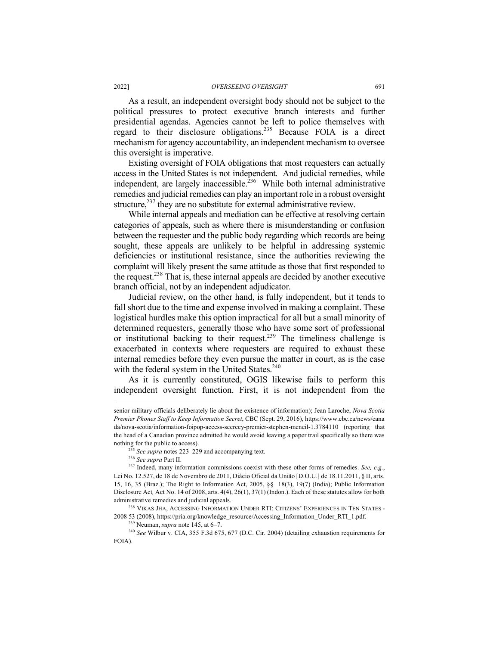As a result, an independent oversight body should not be subject to the political pressures to protect executive branch interests and further presidential agendas. Agencies cannot be left to police themselves with regard to their disclosure obligations.235 Because FOIA is a direct mechanism for agency accountability, an independent mechanism to oversee this oversight is imperative.

Existing oversight of FOIA obligations that most requesters can actually access in the United States is not independent. And judicial remedies, while independent, are largely inaccessible. 236 While both internal administrative remedies and judicial remedies can play an important role in a robust oversight structure,<sup>237</sup> they are no substitute for external administrative review.

While internal appeals and mediation can be effective at resolving certain categories of appeals, such as where there is misunderstanding or confusion between the requester and the public body regarding which records are being sought, these appeals are unlikely to be helpful in addressing systemic deficiencies or institutional resistance, since the authorities reviewing the complaint will likely present the same attitude as those that first responded to the request.238 That is, these internal appeals are decided by another executive branch official, not by an independent adjudicator.

Judicial review, on the other hand, is fully independent, but it tends to fall short due to the time and expense involved in making a complaint. These logistical hurdles make this option impractical for all but a small minority of determined requesters, generally those who have some sort of professional or institutional backing to their request.239 The timeliness challenge is exacerbated in contexts where requesters are required to exhaust these internal remedies before they even pursue the matter in court, as is the case with the federal system in the United States.<sup>240</sup>

As it is currently constituted, OGIS likewise fails to perform this independent oversight function. First, it is not independent from the

<sup>238</sup> VIKAS JHA, ACCESSING INFORMATION UNDER RTI: CITIZENS' EXPERIENCES IN TEN STATES - 2008 53 (2008), https://pria.org/knowledge\_resource/Accessing\_Information\_Under\_RTI\_1.pdf.

<sup>240</sup> *See* Wilbur v. CIA, 355 F.3d 675, 677 (D.C. Cir. 2004) (detailing exhaustion requirements for FOIA).

senior military officials deliberately lie about the existence of information); Jean Laroche, *Nova Scotia Premier Phones Staff to Keep Information Secret*, CBC (Sept. 29, 2016), https://www.cbc.ca/news/cana da/nova-scotia/information-foipop-access-secrecy-premier-stephen-mcneil-1.3784110 (reporting that the head of a Canadian province admitted he would avoid leaving a paper trail specifically so there was nothing for the public to access).

<sup>235</sup> *See supra* notes 223–229 and accompanying text.

<sup>236</sup> *See supra* Part II.

<sup>237</sup> Indeed, many information commissions coexist with these other forms of remedies. *See, e.g.*, Lei No. 12.527, de 18 de Novembro de 2011, Diáeio Oficial da União [D.O.U.] de 18.11.2011, § II, arts. 15, 16, 35 (Braz.); The Right to Information Act, 2005, §§ 18(3), 19(7) (India); Public Information Disclosure Act*,* Act No. 14 of 2008, arts. 4(4), 26(1), 37(1) (Indon.). Each of these statutes allow for both administrative remedies and judicial appeals.

<sup>239</sup> Neuman, *supra* note 145, at 6–7.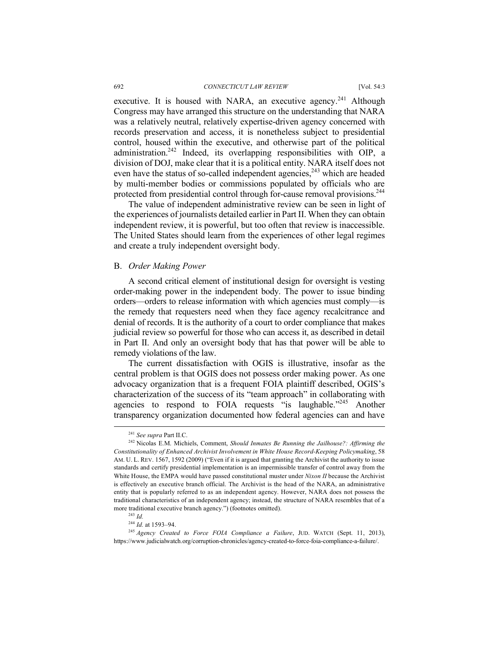executive. It is housed with NARA, an executive agency.<sup>241</sup> Although Congress may have arranged this structure on the understanding that NARA was a relatively neutral, relatively expertise-driven agency concerned with records preservation and access, it is nonetheless subject to presidential control, housed within the executive, and otherwise part of the political administration.<sup>242</sup> Indeed, its overlapping responsibilities with OIP, a division of DOJ, make clear that it is a political entity. NARA itself does not even have the status of so-called independent agencies,<sup>243</sup> which are headed by multi-member bodies or commissions populated by officials who are protected from presidential control through for-cause removal provisions.<sup>244</sup>

The value of independent administrative review can be seen in light of the experiences of journalists detailed earlier in Part II. When they can obtain independent review, it is powerful, but too often that review is inaccessible. The United States should learn from the experiences of other legal regimes and create a truly independent oversight body.

#### B. *Order Making Power*

A second critical element of institutional design for oversight is vesting order-making power in the independent body. The power to issue binding orders—orders to release information with which agencies must comply—is the remedy that requesters need when they face agency recalcitrance and denial of records. It is the authority of a court to order compliance that makes judicial review so powerful for those who can access it, as described in detail in Part II. And only an oversight body that has that power will be able to remedy violations of the law.

The current dissatisfaction with OGIS is illustrative, insofar as the central problem is that OGIS does not possess order making power. As one advocacy organization that is a frequent FOIA plaintiff described, OGIS's characterization of the success of its "team approach" in collaborating with agencies to respond to FOIA requests "is laughable."<sup>245</sup> Another transparency organization documented how federal agencies can and have

<sup>244</sup> *Id.* at 1593–94.

 <sup>241</sup> *See supra* Part II.C.

<sup>242</sup> Nicolas E.M. Michiels, Comment, *Should Inmates Be Running the Jailhouse?: Affirming the Constitutionality of Enhanced Archivist Involvement in White House Record-Keeping Policymaking*, 58 AM. U. L. REV. 1567, 1592 (2009) ("Even if it is argued that granting the Archivist the authority to issue standards and certify presidential implementation is an impermissible transfer of control away from the White House, the EMPA would have passed constitutional muster under *Nixon II* because the Archivist is effectively an executive branch official. The Archivist is the head of the NARA, an administrative entity that is popularly referred to as an independent agency. However, NARA does not possess the traditional characteristics of an independent agency; instead, the structure of NARA resembles that of a more traditional executive branch agency.") (footnotes omitted).

<sup>243</sup> *Id.*

<sup>245</sup> *Agency Created to Force FOIA Compliance a Failure*, JUD. WATCH (Sept. 11, 2013), https://www.judicialwatch.org/corruption-chronicles/agency-created-to-force-foia-compliance-a-failure/.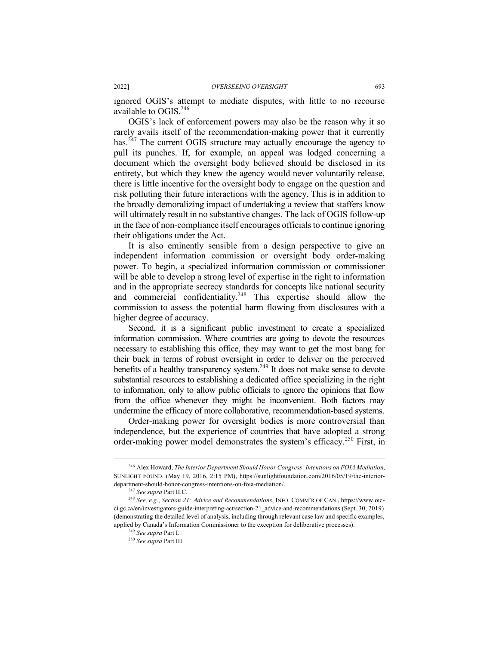ignored OGIS's attempt to mediate disputes, with little to no recourse available to  $OGIS<sup>246</sup>$ 

OGIS's lack of enforcement powers may also be the reason why it so rarely avails itself of the recommendation-making power that it currently has.<sup> $247$ </sup> The current OGIS structure may actually encourage the agency to pull its punches. If, for example, an appeal was lodged concerning a document which the oversight body believed should be disclosed in its entirety, but which they knew the agency would never voluntarily release, there is little incentive for the oversight body to engage on the question and risk polluting their future interactions with the agency. This is in addition to the broadly demoralizing impact of undertaking a review that staffers know will ultimately result in no substantive changes. The lack of OGIS follow-up in the face of non-compliance itself encourages officials to continue ignoring their obligations under the Act.

It is also eminently sensible from a design perspective to give an independent information commission or oversight body order-making power. To begin, a specialized information commission or commissioner will be able to develop a strong level of expertise in the right to information and in the appropriate secrecy standards for concepts like national security and commercial confidentiality.<sup>248</sup> This expertise should allow the commission to assess the potential harm flowing from disclosures with a higher degree of accuracy.

Second, it is a significant public investment to create a specialized information commission. Where countries are going to devote the resources necessary to establishing this office, they may want to get the most bang for their buck in terms of robust oversight in order to deliver on the perceived benefits of a healthy transparency system.<sup>249</sup> It does not make sense to devote substantial resources to establishing a dedicated office specializing in the right to information, only to allow public officials to ignore the opinions that flow from the office whenever they might be inconvenient. Both factors may undermine the efficacy of more collaborative, recommendation-based systems.

Order-making power for oversight bodies is more controversial than independence, but the experience of countries that have adopted a strong order-making power model demonstrates the system's efficacy.<sup>250</sup> First, in

 <sup>246</sup> Alex Howard, *The Interior Department Should Honor Congress' Intentions on FOIA Mediation*, SUNLIGHT FOUND. (May 19, 2016, 2:15 PM), https://sunlightfoundation.com/2016/05/19/the-interiordepartment-should-honor-congress-intentions-on-foia-mediation/.

<sup>247</sup> *See supra* Part II.C.

<sup>248</sup> *See, e.g.*, *Section 21: Advice and Recommendations*, INFO. COMM'R OF CAN., https://www.oicci.gc.ca/en/investigators-guide-interpreting-act/section-21\_advice-and-recommendations (Sept. 30, 2019) (demonstrating the detailed level of analysis, including through relevant case law and specific examples, applied by Canada's Information Commissioner to the exception for deliberative processes).

<sup>249</sup> *See supra* Part I.

<sup>250</sup> *See supra* Part III.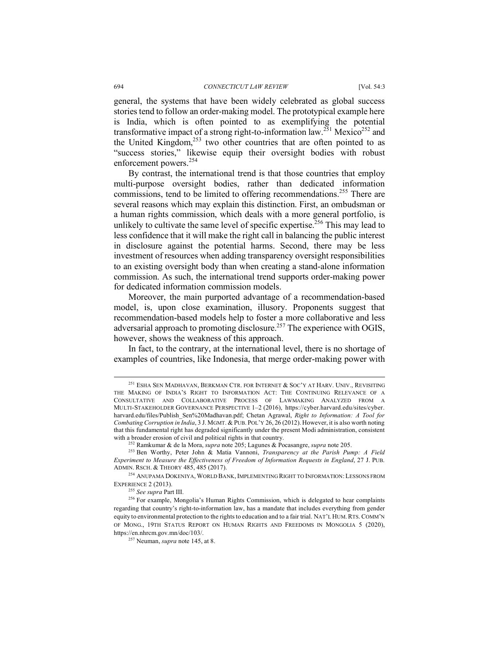general, the systems that have been widely celebrated as global success stories tend to follow an order-making model. The prototypical example here is India, which is often pointed to as exemplifying the potential transformative impact of a strong right-to-information law.<sup>251</sup> Mexico<sup>252</sup> and the United Kingdom,<sup>253</sup> two other countries that are often pointed to as "success stories," likewise equip their oversight bodies with robust enforcement powers.<sup>254</sup>

By contrast, the international trend is that those countries that employ multi-purpose oversight bodies, rather than dedicated information commissions, tend to be limited to offering recommendations.<sup>255</sup> There are several reasons which may explain this distinction. First, an ombudsman or a human rights commission, which deals with a more general portfolio, is unlikely to cultivate the same level of specific expertise.<sup>256</sup> This may lead to less confidence that it will make the right call in balancing the public interest in disclosure against the potential harms. Second, there may be less investment of resources when adding transparency oversight responsibilities to an existing oversight body than when creating a stand-alone information commission. As such, the international trend supports order-making power for dedicated information commission models.

Moreover, the main purported advantage of a recommendation-based model, is, upon close examination, illusory. Proponents suggest that recommendation-based models help to foster a more collaborative and less adversarial approach to promoting disclosure.<sup>257</sup> The experience with OGIS, however, shows the weakness of this approach.

In fact, to the contrary, at the international level, there is no shortage of examples of countries, like Indonesia, that merge order-making power with

<sup>255</sup> *See supra* Part III.

 <sup>251</sup> ESHA SEN MADHAVAN, BERKMAN CTR. FOR INTERNET & SOC'Y AT HARV. UNIV., REVISITING THE MAKING OF INDIA'S RIGHT TO INFORMATION ACT: THE CONTINUING RELEVANCE OF A CONSULTATIVE AND COLLABORATIVE PROCESS OF LAWMAKING ANALYZED FROM A MULTI-STAKEHOLDER GOVERNANCE PERSPECTIVE 1–2 (2016), https://cyber.harvard.edu/sites/cyber. harvard.edu/files/Publish\_Sen%20Madhavan.pdf; Chetan Agrawal, *Right to Information: A Tool for Combating Corruption in India*, 3 J. MGMT. & PUB. POL'Y 26, 26 (2012). However, it is also worth noting that this fundamental right has degraded significantly under the present Modi administration, consistent with a broader erosion of civil and political rights in that country.

<sup>252</sup> Ramkumar & de la Mora, *supra* note 205; Lagunes & Pocasangre, *supra* note 205.

<sup>253</sup> Ben Worthy, Peter John & Matia Vannoni, *Transparency at the Parish Pump: A Field Experiment to Measure the Effectiveness of Freedom of Information Requests in England*, 27 J. PUB. ADMIN. RSCH. & THEORY 485, 485 (2017).

<sup>&</sup>lt;sup>254</sup> ANUPAMA DOKENIYA, WORLD BANK, IMPLEMENTING RIGHT TO INFORMATION: LESSONS FROM EXPERIENCE 2 (2013).

<sup>256</sup> For example, Mongolia's Human Rights Commission, which is delegated to hear complaints regarding that country's right-to-information law, has a mandate that includes everything from gender equity to environmental protection to the rights to education and to a fair trial. NAT'L HUM.RTS. COMM'N OF MONG., 19TH STATUS REPORT ON HUMAN RIGHTS AND FREEDOMS IN MONGOLIA 5 (2020), https://en.nhrcm.gov.mn/doc/103/.

<sup>257</sup> Neuman, *supra* note 145, at 8.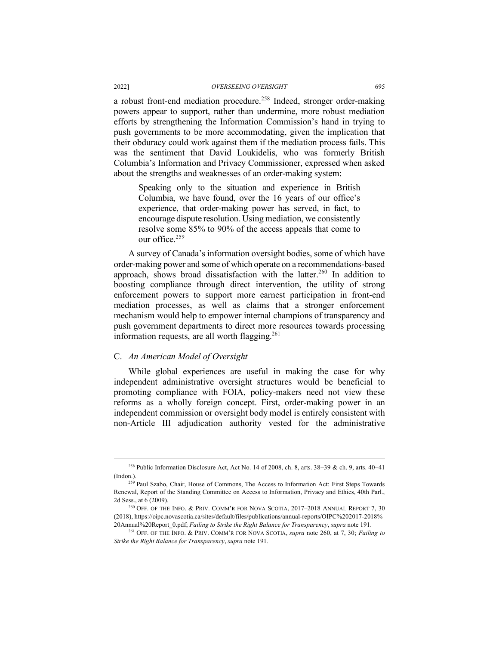a robust front-end mediation procedure.<sup>258</sup> Indeed, stronger order-making powers appear to support, rather than undermine, more robust mediation efforts by strengthening the Information Commission's hand in trying to push governments to be more accommodating, given the implication that their obduracy could work against them if the mediation process fails. This was the sentiment that David Loukidelis, who was formerly British Columbia's Information and Privacy Commissioner, expressed when asked about the strengths and weaknesses of an order-making system:

Speaking only to the situation and experience in British Columbia, we have found, over the 16 years of our office's experience, that order-making power has served, in fact, to encourage dispute resolution. Using mediation, we consistently resolve some 85% to 90% of the access appeals that come to  $_{\text{our}}$  office  $^{259}$ 

A survey of Canada's information oversight bodies, some of which have order-making power and some of which operate on a recommendations-based approach, shows broad dissatisfaction with the latter.<sup>260</sup> In addition to boosting compliance through direct intervention, the utility of strong enforcement powers to support more earnest participation in front-end mediation processes, as well as claims that a stronger enforcement mechanism would help to empower internal champions of transparency and push government departments to direct more resources towards processing information requests, are all worth flagging.<sup>261</sup>

#### C. *An American Model of Oversight*

While global experiences are useful in making the case for why independent administrative oversight structures would be beneficial to promoting compliance with FOIA, policy-makers need not view these reforms as a wholly foreign concept. First, order-making power in an independent commission or oversight body model is entirely consistent with non-Article III adjudication authority vested for the administrative

<sup>&</sup>lt;sup>258</sup> Public Information Disclosure Act, Act No. 14 of 2008, ch. 8, arts.  $38-39$  & ch. 9, arts.  $40-41$ (Indon.). 259 Paul Szabo, Chair, House of Commons, The Access to Information Act: First Steps Towards

Renewal, Report of the Standing Committee on Access to Information, Privacy and Ethics, 40th Parl., 2d Sess., at 6 (2009).

<sup>260</sup> OFF. OF THE INFO. & PRIV. COMM'R FOR NOVA SCOTIA, 2017–2018 ANNUAL REPORT 7, 30 (2018), https://oipc.novascotia.ca/sites/default/files/publications/annual-reports/OIPC%202017-2018% 20Annual%20Report\_0.pdf; *Failing to Strike the Right Balance for Transparency*, *supra* note 191.

<sup>261</sup> OFF. OF THE INFO. & PRIV. COMM'R FOR NOVA SCOTIA, *supra* note 260, at 7, 30; *Failing to Strike the Right Balance for Transparency*, *supra* note 191.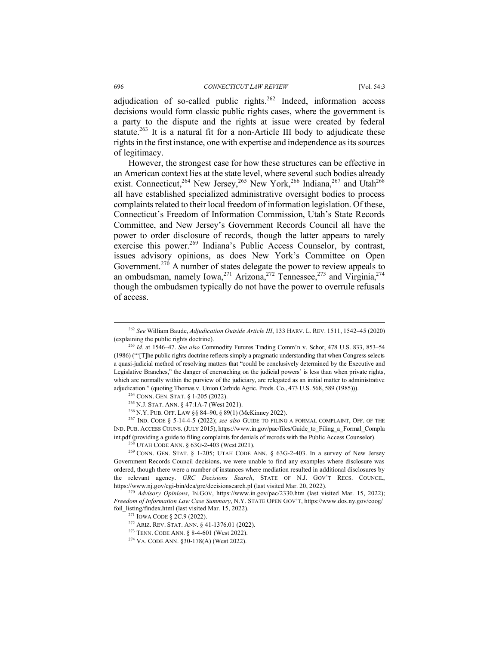adjudication of so-called public rights.<sup>262</sup> Indeed, information access decisions would form classic public rights cases, where the government is a party to the dispute and the rights at issue were created by federal statute.<sup>263</sup> It is a natural fit for a non-Article III body to adjudicate these rights in the first instance, one with expertise and independence as its sources of legitimacy.

However, the strongest case for how these structures can be effective in an American context lies at the state level, where several such bodies already exist. Connecticut,<sup>264</sup> New Jersey,<sup>265</sup> New York,<sup>266</sup> Indiana,<sup>267</sup> and Utah<sup>268</sup> all have established specialized administrative oversight bodies to process complaints related to their local freedom of information legislation. Of these, Connecticut's Freedom of Information Commission, Utah's State Records Committee, and New Jersey's Government Records Council all have the power to order disclosure of records, though the latter appears to rarely exercise this power.<sup>269</sup> Indiana's Public Access Counselor, by contrast, issues advisory opinions, as does New York's Committee on Open Government.<sup>270</sup> A number of states delegate the power to review appeals to an ombudsman, namely Iowa,  $2^{71}$  Arizona,  $2^{72}$  Tennessee,  $2^{73}$  and Virginia,  $2^{74}$ though the ombudsmen typically do not have the power to overrule refusals of access.

 <sup>262</sup> *See* William Baude, *Adjudication Outside Article III*, 133 HARV. L. REV. 1511, 1542–45 (2020) (explaining the public rights doctrine).

<sup>263</sup> *Id.* at 1546–47. *See also* Commodity Futures Trading Comm'n v. Schor, 478 U.S. 833, 853–54 (1986) ("'[T]he public rights doctrine reflects simply a pragmatic understanding that when Congress selects a quasi-judicial method of resolving matters that "could be conclusively determined by the Executive and Legislative Branches," the danger of encroaching on the judicial powers' is less than when private rights, which are normally within the purview of the judiciary, are relegated as an initial matter to administrative adjudication." (quoting Thomas v. Union Carbide Agric. Prods. Co., 473 U.S. 568, 589 (1985))).

<sup>264</sup> CONN. GEN. STAT. § 1-205 (2022).

<sup>265</sup> N.J. STAT. ANN. § 47:1A-7 (West 2021).

<sup>266</sup> N.Y. PUB. OFF. LAW §§ 84–90, § 89(1) (McKinney 2022).

<sup>267</sup> IND. CODE § 5-14-4-5 (2022); *see also* GUIDE TO FILING A FORMAL COMPLAINT, OFF. OF THE IND. PUB. ACCESS COUNS. (JULY 2015), https://www.in.gov/pac/files/Guide\_to\_Filing\_a\_Formal\_Compla int ndf (providing a guide to filing complaints for denials of recrods with the Public Access Counselor).

<sup>268</sup> UTAH CODE ANN. § 63G-2-403 (West 2021).

 $^{269}$  CONN. GEN. STAT. § 1-205; UTAH CODE ANN. § 63G-2-403. In a survey of New Jersey Government Records Council decisions, we were unable to find any examples where disclosure was ordered, though there were a number of instances where mediation resulted in additional disclosures by the relevant agency. *GRC Decisions Search*, STATE OF N.J. GOV'T RECS. COUNCIL, https://www.nj.gov/cgi-bin/dca/grc/decisionsearch.pl (last visited Mar. 20, 2022).

<sup>270</sup> *Advisory Opinions*, IN.GOV, https://www.in.gov/pac/2330.htm (last visited Mar. 15, 2022); *Freedom of Information Law Case Summary*, N.Y. STATE OPEN GOV'T, https://www.dos.ny.gov/coog/ foil\_listing/findex.html (last visited Mar. 15, 2022).

<sup>&</sup>lt;sup>271</sup> IOWA CODE § 2C.9 (2022).<br><sup>272</sup> ARIZ. REV. STAT. ANN. § 41-1376.01 (2022).

<sup>273</sup> TENN. CODE ANN. § 8-4-601 (West 2022).

<sup>274</sup> VA. CODE ANN. §30-178(A) (West 2022).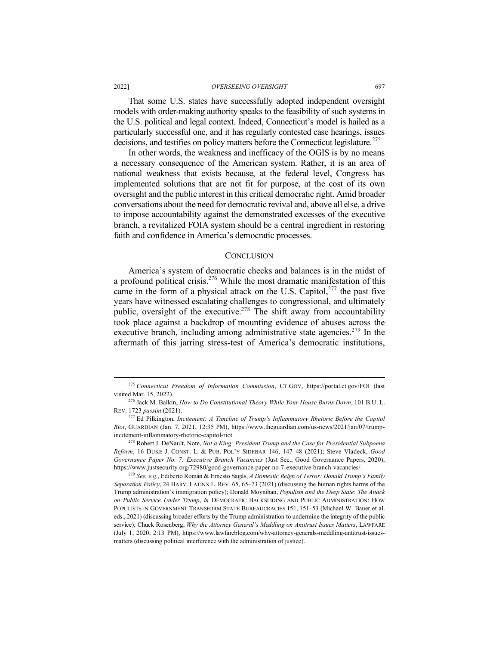That some U.S. states have successfully adopted independent oversight models with order-making authority speaks to the feasibility of such systems in the U.S. political and legal context. Indeed, Connecticut's model is hailed as a particularly successful one, and it has regularly contested case hearings, issues decisions, and testifies on policy matters before the Connecticut legislature.<sup>275</sup>

In other words, the weakness and inefficacy of the OGIS is by no means a necessary consequence of the American system. Rather, it is an area of national weakness that exists because, at the federal level, Congress has implemented solutions that are not fit for purpose, at the cost of its own oversight and the public interest in this critical democratic right. Amid broader conversations about the need for democratic revival and, above all else, a drive to impose accountability against the demonstrated excesses of the executive branch, a revitalized FOIA system should be a central ingredient in restoring faith and confidence in America's democratic processes.

#### **CONCLUSION**

America's system of democratic checks and balances is in the midst of a profound political crisis.<sup>276</sup> While the most dramatic manifestation of this came in the form of a physical attack on the U.S. Capitol, $277$  the past five years have witnessed escalating challenges to congressional, and ultimately public, oversight of the executive.<sup>278</sup> The shift away from accountability took place against a backdrop of mounting evidence of abuses across the executive branch, including among administrative state agencies.<sup>279</sup> In the aftermath of this jarring stress-test of America's democratic institutions,

<sup>278</sup> Robert J. DeNault, Note, *Not a King: President Trump and the Case for Presidential Subpoena Reform*, 16 DUKE J. CONST. L. & PUB. POL'Y SIDEBAR 146, 147–48 (2021); Steve Vladeck, *Good Governance Paper No. 7: Executive Branch Vacancies* (Just Sec., Good Governance Papers, 2020), https://www.justsecurity.org/72980/good-governance-paper-no-7-executive-branch-vacancies/.

 <sup>275</sup> *Connecticut Freedom of Information Commission*, CT.GOV, https://portal.ct.gov/FOI (last visited Mar. 15, 2022).

<sup>276</sup> Jack M. Balkin, *How to Do Constitutional Theory While Your House Burns Down*, 101 B.U. L. REV. 1723 *passim* (2021).

<sup>277</sup> Ed Pilkington, *Incitement: A Timeline of Trump's Inflammatory Rhetoric Before the Capitol Riot*, GUARDIAN (Jan. 7, 2021, 12:35 PM), https://www.theguardian.com/us-news/2021/jan/07/trumpincitement-inflammatory-rhetoric-capitol-riot.

<sup>279</sup> *See, e.g.*, Ediberto Román & Ernesto Sagás, *A Domestic Reign of Terror: Donald Trump's Family Separation Policy*, 24 HARV. LATINX L. REV. 65, 65–73 (2021) (discussing the human rights harms of the Trump administration's immigration policy); Donald Moynihan, *Populism and the Deep State: The Attack on Public Service Under Trump*, *in* DEMOCRATIC BACKSLIDING AND PUBLIC ADMINISTRATION: HOW POPULISTS IN GOVERNMENT TRANSFORM STATE BUREAUCRACIES 151, 151–53 (Michael W. Bauer et al. eds., 2021) (discussing broader efforts by the Trump administration to undermine the integrity of the public service); Chuck Rosenberg, *Why the Attorney General's Meddling on Antitrust Issues Matters*, LAWFARE (July 1, 2020, 2:13 PM), https://www.lawfareblog.com/why-attorney-generals-meddling-antitrust-issuesmatters (discussing political interference with the administration of justice).